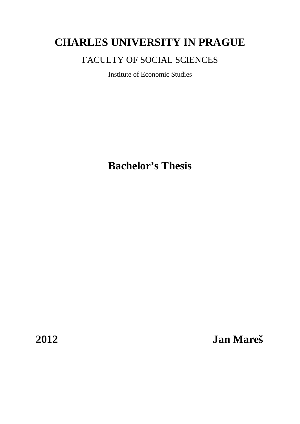# **CHARLES UNIVERSITY IN PRAGUE**

# FACULTY OF SOCIAL SCIENCES

Institute of Economic Studies

**Bachelor's Thesis** 

**2012 Jan Mareš**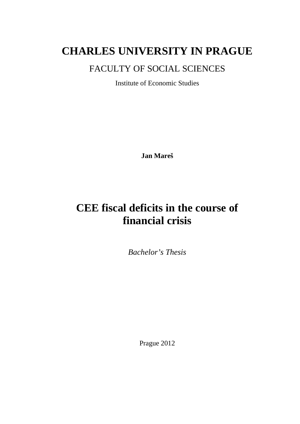# **CHARLES UNIVERSITY IN PRAGUE**

# FACULTY OF SOCIAL SCIENCES

Institute of Economic Studies

**Jan Mareš**

# **CEE fiscal deficits in the course of financial crisis**

*Bachelor's Thesis* 

Prague 2012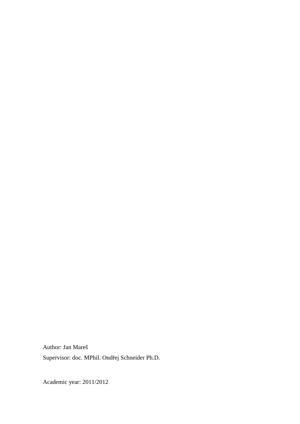Author: Jan Mareš Supervisor: doc. MPhil. Ondřej Schneider Ph.D.

Academic year: 2011/2012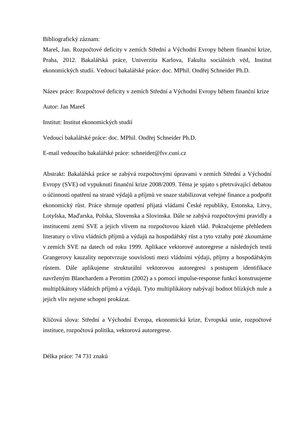Bibliografický záznam:

Mareš, Jan. Rozpočtové deficity v zemích Střední a Východní Evropy během finanční krize, Praha, 2012. Bakalářská práce, Univerzita Karlova, Fakulta sociálních věd, Institut ekonomických studií. Vedoucí bakalářské práce: doc. MPhil. Ondřej Schneider Ph.D.

Název práce: Rozpočtové deficity v zemích Střední a Východní Evropy během finanční krize

Autor: Jan Mareš

Institut: Institut ekonomických studií

Vedoucí bakalářské práce: doc. MPhil. Ondřej Schneider Ph.D.

E-mail vedoucího bakalářské práce: schneider@fsv.cuni.cz

Abstrakt: Bakalářská práce se zabývá rozpočtovými úpravami v zemích Střední a Východní Evropy (SVE) od vypuknutí finanční krize 2008/2009. Téma je spjato s přetrvávající debatou o účinnosti opatření na straně výdajů a příjmů ve snaze stabilizovat veřejné finance a podpořit ekonomický růst. Práce shrnuje opatření přijatá vládami České republiky, Estonska, Litvy, Lotyšska, Maďarska, Polska, Slovenska a Slovinska. Dále se zabývá rozpočtovými pravidly a institucemi zemí SVE a jejich vlivem na rozpočtovou kázeň vlád. Pokračujeme přehledem literatury o vlivu vládních příjmů a výdajů na hospodářský růst a tyto vztahy poté zkoumáme v zemích SVE na datech od roku 1999. Aplikace vektorové autoregrese a následných testů Grangerovy kauzality nepotvrzuje souvislosti mezi vládními výdaji, příjmy a hospodářským růstem. Dále aplikujeme strukturální vektorovou autoregresi s postupem identifikace navrženým Blanchardem a Perottim (2002) a s pomocí impulse-response funkcí konstruujeme multiplikátory vládních příjmů a výdajů. Tyto multiplikátory nabývají hodnot blízkých nule a jejich vliv nejsme schopni prokázat.

Klíčová slova: Střední a Východní Evropa, ekonomická krize, Evropská unie, rozpočtové instituce, rozpočtová politika, vektorová autoregrese.

Délka práce: 74 731 znaků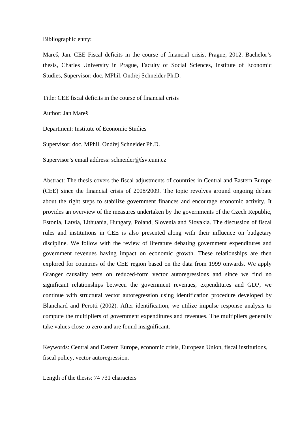Bibliographic entry:

Mareš, Jan. CEE Fiscal deficits in the course of financial crisis, Prague, 2012. Bachelor's thesis, Charles University in Prague, Faculty of Social Sciences, Institute of Economic Studies, Supervisor: doc. MPhil. Ondřej Schneider Ph.D.

Title: CEE fiscal deficits in the course of financial crisis

Author: Jan Mareš

Department: Institute of Economic Studies

Supervisor: doc. MPhil. Ondřej Schneider Ph.D.

Supervisor's email address: schneider@fsv.cuni.cz

Abstract: The thesis covers the fiscal adjustments of countries in Central and Eastern Europe (CEE) since the financial crisis of 2008/2009. The topic revolves around ongoing debate about the right steps to stabilize government finances and encourage economic activity. It provides an overview of the measures undertaken by the governments of the Czech Republic, Estonia, Latvia, Lithuania, Hungary, Poland, Slovenia and Slovakia. The discussion of fiscal rules and institutions in CEE is also presented along with their influence on budgetary discipline. We follow with the review of literature debating government expenditures and government revenues having impact on economic growth. These relationships are then explored for countries of the CEE region based on the data from 1999 onwards. We apply Granger causality tests on reduced-form vector autoregressions and since we find no significant relationships between the government revenues, expenditures and GDP, we continue with structural vector autoregression using identification procedure developed by Blanchard and Perotti (2002). After identification, we utilize impulse response analysis to compute the multipliers of government expenditures and revenues. The multipliers generally take values close to zero and are found insignificant.

Keywords: Central and Eastern Europe, economic crisis, European Union, fiscal institutions, fiscal policy, vector autoregression.

Length of the thesis: 74 731 characters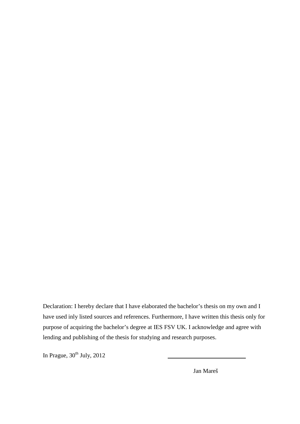Declaration: I hereby declare that I have elaborated the bachelor's thesis on my own and I have used inly listed sources and references. Furthermore, I have written this thesis only for purpose of acquiring the bachelor's degree at IES FSV UK. I acknowledge and agree with lending and publishing of the thesis for studying and research purposes.

In Prague,  $30<sup>th</sup>$  July,  $2012$ 

Jan Mareš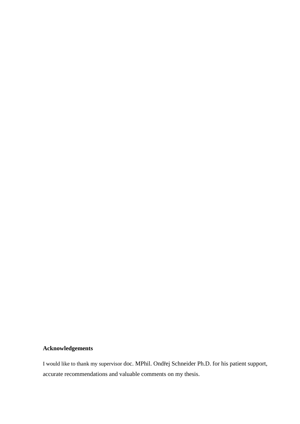#### **Acknowledgements**

I would like to thank my supervisor doc. MPhil. Ondřej Schneider Ph.D. for his patient support, accurate recommendations and valuable comments on my thesis.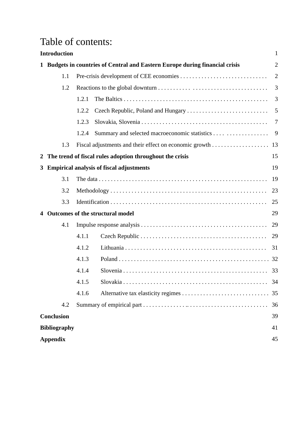# Table of contents:

|   | <b>Introduction</b>                                                                                                |                       |                                                          | $\mathbf{1}$   |  |
|---|--------------------------------------------------------------------------------------------------------------------|-----------------------|----------------------------------------------------------|----------------|--|
|   | <b>Budgets in countries of Central and Eastern Europe during financial crisis</b><br>$\overline{2}$<br>$\mathbf 1$ |                       |                                                          |                |  |
|   | 1.1                                                                                                                |                       |                                                          | $\overline{2}$ |  |
|   | 1.2                                                                                                                |                       |                                                          | 3              |  |
|   |                                                                                                                    | 1.2.1                 |                                                          | 3              |  |
|   |                                                                                                                    | 1.2.2                 |                                                          | 5              |  |
|   |                                                                                                                    | 1.2.3                 |                                                          | 7              |  |
|   |                                                                                                                    | 1.2.4                 |                                                          | 9              |  |
|   | 1.3                                                                                                                |                       |                                                          | 13             |  |
| 2 |                                                                                                                    |                       | The trend of fiscal rules adoption throughout the crisis | 15             |  |
| 3 |                                                                                                                    |                       | <b>Empirical analysis of fiscal adjustments</b>          | 19             |  |
|   | 3.1                                                                                                                |                       |                                                          | 19             |  |
|   | 3.2                                                                                                                |                       |                                                          | 23             |  |
|   | 3.3                                                                                                                |                       |                                                          | 25             |  |
|   |                                                                                                                    |                       | Outcomes of the structural model                         | 29             |  |
|   | 4.1                                                                                                                |                       |                                                          | 29             |  |
|   |                                                                                                                    | 4.1.1                 |                                                          | 29             |  |
|   |                                                                                                                    | 4.1.2                 |                                                          | 31             |  |
|   |                                                                                                                    | 4.1.3                 |                                                          |                |  |
|   |                                                                                                                    | 4.1.4                 |                                                          | 33             |  |
|   |                                                                                                                    | 4.1.5                 |                                                          | 34             |  |
|   |                                                                                                                    | 4.1.6                 |                                                          | 35             |  |
|   | 4.2                                                                                                                |                       |                                                          | 36             |  |
|   | <b>Conclusion</b>                                                                                                  |                       |                                                          | 39             |  |
|   | <b>Bibliography</b>                                                                                                |                       |                                                          | 41             |  |
|   |                                                                                                                    | 45<br><b>Appendix</b> |                                                          |                |  |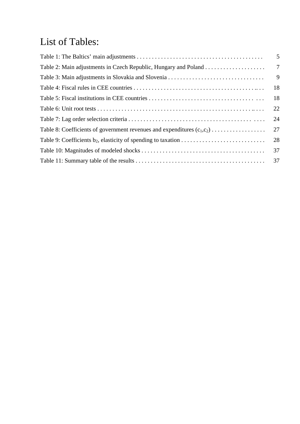# List of Tables:

|                                                                            | 5               |
|----------------------------------------------------------------------------|-----------------|
|                                                                            | $7\phantom{.0}$ |
|                                                                            | 9               |
|                                                                            | 18              |
|                                                                            | 18              |
|                                                                            | 22              |
|                                                                            | 24              |
| Table 8: Coefficients of government revenues and expenditures $(c_1, c_2)$ | 27              |
|                                                                            | 28              |
|                                                                            |                 |
|                                                                            |                 |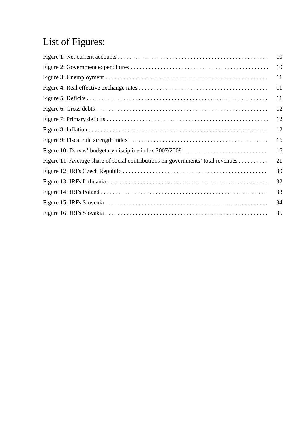# List of Figures:

|                                                                                 | 10 |
|---------------------------------------------------------------------------------|----|
|                                                                                 | 10 |
|                                                                                 | 11 |
|                                                                                 | 11 |
|                                                                                 | 11 |
|                                                                                 | 12 |
|                                                                                 | 12 |
|                                                                                 | 12 |
|                                                                                 | 16 |
|                                                                                 | 16 |
| Figure 11: Average share of social contributions on governments' total revenues | 21 |
|                                                                                 | 30 |
|                                                                                 | 32 |
|                                                                                 | 33 |
|                                                                                 | 34 |
|                                                                                 | 35 |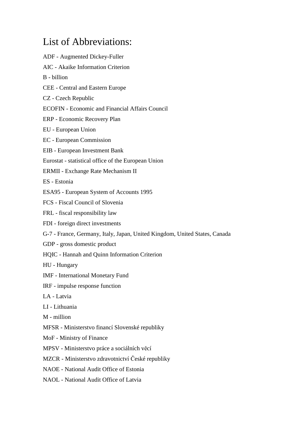# List of Abbreviations:

ADF - Augmented Dickey-Fuller AIC - Akaike Information Criterion B - billion CEE - Central and Eastern Europe CZ - Czech Republic ECOFIN - Economic and Financial Affairs Council ERP - Economic Recovery Plan EU - European Union EC - European Commission EIB - European Investment Bank Eurostat - statistical office of the European Union ERMII - Exchange Rate Mechanism II ES - Estonia ESA95 - European System of Accounts 1995 FCS - Fiscal Council of Slovenia FRL - fiscal responsibility law FDI - foreign direct investments G-7 - France, Germany, Italy, Japan, United Kingdom, United States, Canada GDP - gross domestic product HQIC - Hannah and Quinn Information Criterion HU - Hungary IMF - International Monetary Fund IRF - impulse response function LA - Latvia LI - Lithuania M - million MFSR - Ministerstvo financí Slovenské republiky MoF - Ministry of Finance MPSV - Ministerstvo práce a sociálních věcí MZCR - Ministerstvo zdravotnictví České republiky NAOE - National Audit Office of Estonia NAOL - National Audit Office of Latvia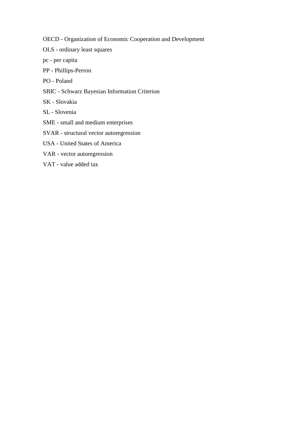OECD - Organization of Economic Cooperation and Development

- OLS ordinary least squares
- pc per capita
- PP Phillips-Perron
- PO Poland
- SBIC Schwarz Bayesian Information Criterion
- SK Slovakia
- SL Slovenia
- SME small and medium enterprises
- SVAR structural vector autoregression
- USA United States of America
- VAR vector autoregression
- VAT value added tax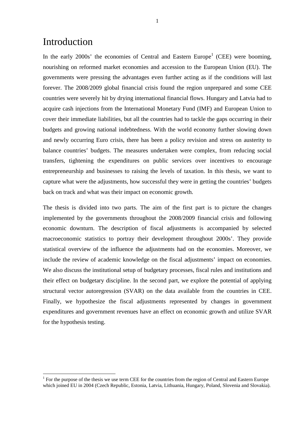# Introduction

 $\overline{a}$ 

In the early  $2000s'$  the economies of Central and Eastern Europe<sup>1</sup> (CEE) were booming, nourishing on reformed market economies and accession to the European Union (EU). The governments were pressing the advantages even further acting as if the conditions will last forever. The 2008/2009 global financial crisis found the region unprepared and some CEE countries were severely hit by drying international financial flows. Hungary and Latvia had to acquire cash injections from the International Monetary Fund (IMF) and European Union to cover their immediate liabilities, but all the countries had to tackle the gaps occurring in their budgets and growing national indebtedness. With the world economy further slowing down and newly occurring Euro crisis, there has been a policy revision and stress on austerity to balance countries' budgets. The measures undertaken were complex, from reducing social transfers, tightening the expenditures on public services over incentives to encourage entrepreneurship and businesses to raising the levels of taxation. In this thesis, we want to capture what were the adjustments, how successful they were in getting the countries' budgets back on track and what was their impact on economic growth.

The thesis is divided into two parts. The aim of the first part is to picture the changes implemented by the governments throughout the 2008/2009 financial crisis and following economic downturn. The description of fiscal adjustments is accompanied by selected macroeconomic statistics to portray their development throughout 2000s'. They provide statistical overview of the influence the adjustments had on the economies. Moreover, we include the review of academic knowledge on the fiscal adjustments' impact on economies. We also discuss the institutional setup of budgetary processes, fiscal rules and institutions and their effect on budgetary discipline. In the second part, we explore the potential of applying structural vector autoregression (SVAR) on the data available from the countries in CEE. Finally, we hypothesize the fiscal adjustments represented by changes in government expenditures and government revenues have an effect on economic growth and utilize SVAR for the hypothesis testing.

 $1$  For the purpose of the thesis we use term CEE for the countries from the region of Central and Eastern Europe which joined EU in 2004 (Czech Republic, Estonia, Latvia, Lithuania, Hungary, Poland, Slovenia and Slovakia).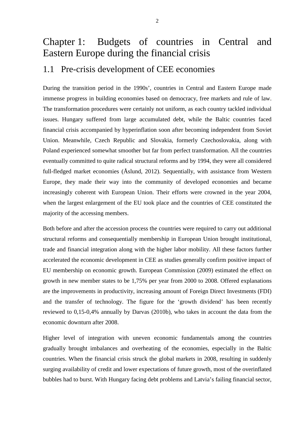# Chapter 1: Budgets of countries in Central and Eastern Europe during the financial crisis

### 1.1 Pre-crisis development of CEE economies

During the transition period in the 1990s', countries in Central and Eastern Europe made immense progress in building economies based on democracy, free markets and rule of law. The transformation procedures were certainly not uniform, as each country tackled individual issues. Hungary suffered from large accumulated debt, while the Baltic countries faced financial crisis accompanied by hyperinflation soon after becoming independent from Soviet Union. Meanwhile, Czech Republic and Slovakia, formerly Czechoslovakia, along with Poland experienced somewhat smoother but far from perfect transformation. All the countries eventually committed to quite radical structural reforms and by 1994, they were all considered full-fledged market economies (Åslund, 2012). Sequentially, with assistance from Western Europe, they made their way into the community of developed economies and became increasingly coherent with European Union. Their efforts were crowned in the year 2004, when the largest enlargement of the EU took place and the countries of CEE constituted the majority of the accessing members.

Both before and after the accession process the countries were required to carry out additional structural reforms and consequentially membership in European Union brought institutional, trade and financial integration along with the higher labor mobility. All these factors further accelerated the economic development in CEE as studies generally confirm positive impact of EU membership on economic growth. European Commission (2009) estimated the effect on growth in new member states to be 1,75% per year from 2000 to 2008. Offered explanations are the improvements in productivity, increasing amount of Foreign Direct Investments (FDI) and the transfer of technology. The figure for the 'growth dividend' has been recently reviewed to 0,15-0,4% annually by Darvas (2010b), who takes in account the data from the economic downturn after 2008.

Higher level of integration with uneven economic fundamentals among the countries gradually brought imbalances and overheating of the economies, especially in the Baltic countries. When the financial crisis struck the global markets in 2008, resulting in suddenly surging availability of credit and lower expectations of future growth, most of the overinflated bubbles had to burst. With Hungary facing debt problems and Latvia's failing financial sector,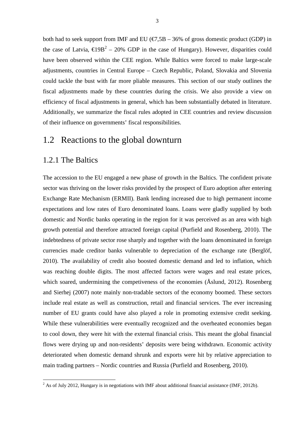both had to seek support from IMF and EU ( $\epsilon$ 7,5B – 36% of gross domestic product (GDP) in the case of Latvia,  $\epsilon 19B^2 - 20\%$  GDP in the case of Hungary). However, disparities could have been observed within the CEE region. While Baltics were forced to make large-scale adjustments, countries in Central Europe – Czech Republic, Poland, Slovakia and Slovenia could tackle the bust with far more pliable measures. This section of our study outlines the fiscal adjustments made by these countries during the crisis. We also provide a view on efficiency of fiscal adjustments in general, which has been substantially debated in literature. Additionally, we summarize the fiscal rules adopted in CEE countries and review discussion of their influence on governments' fiscal responsibilities.

### 1.2 Reactions to the global downturn

#### 1.2.1 The Baltics

l

The accession to the EU engaged a new phase of growth in the Baltics. The confident private sector was thriving on the lower risks provided by the prospect of Euro adoption after entering Exchange Rate Mechanism (ERMII). Bank lending increased due to high permanent income expectations and low rates of Euro denominated loans. Loans were gladly supplied by both domestic and Nordic banks operating in the region for it was perceived as an area with high growth potential and therefore attracted foreign capital (Purfield and Rosenberg, 2010). The indebtedness of private sector rose sharply and together with the loans denominated in foreign currencies made creditor banks vulnerable to depreciation of the exchange rate (Berglöf, 2010). The availability of credit also boosted domestic demand and led to inflation, which was reaching double digits. The most affected factors were wages and real estate prices, which soared, undermining the competiveness of the economies (Åslund, 2012). Rosenberg and Sierhej (2007) note mainly non-tradable sectors of the economy boomed. These sectors include real estate as well as construction, retail and financial services. The ever increasing number of EU grants could have also played a role in promoting extensive credit seeking. While these vulnerabilities were eventually recognized and the overheated economies began to cool down, they were hit with the external financial crisis. This meant the global financial flows were drying up and non-residents' deposits were being withdrawn. Economic activity deteriorated when domestic demand shrunk and exports were hit by relative appreciation to main trading partners – Nordic countries and Russia (Purfield and Rosenberg, 2010).

 $2^{2}$  As of July 2012, Hungary is in negotiations with IMF about additional financial assistance (IMF, 2012b).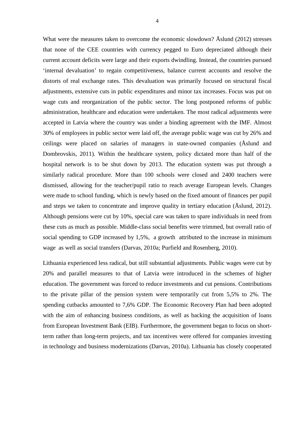What were the measures taken to overcome the economic slowdown? Åslund (2012) stresses that none of the CEE countries with currency pegged to Euro depreciated although their current account deficits were large and their exports dwindling. Instead, the countries pursued 'internal devaluation' to regain competitiveness, balance current accounts and resolve the distorts of real exchange rates. This devaluation was primarily focused on structural fiscal adjustments, extensive cuts in public expenditures and minor tax increases. Focus was put on wage cuts and reorganization of the public sector. The long postponed reforms of public administration, healthcare and education were undertaken. The most radical adjustments were accepted in Latvia where the country was under a binding agreement with the IMF. Almost 30% of employees in public sector were laid off, the average public wage was cut by 26% and ceilings were placed on salaries of managers in state-owned companies (Åslund and Dombrovskis, 2011). Within the healthcare system, policy dictated more than half of the hospital network is to be shut down by 2013. The education system was put through a similarly radical procedure. More than 100 schools were closed and 2400 teachers were dismissed, allowing for the teacher/pupil ratio to reach average European levels. Changes were made to school funding, which is newly based on the fixed amount of finances per pupil and steps we taken to concentrate and improve quality in tertiary education (Åslund, 2012). Although pensions were cut by 10%, special care was taken to spare individuals in need from these cuts as much as possible. Middle-class social benefits were trimmed, but overall ratio of social spending to GDP increased by 1,5%, a growth attributed to the increase in minimum wage as well as social transfers (Darvas, 2010a; Purfield and Rosenberg, 2010).

Lithuania experienced less radical, but still substantial adjustments. Public wages were cut by 20% and parallel measures to that of Latvia were introduced in the schemes of higher education. The government was forced to reduce investments and cut pensions. Contributions to the private pillar of the pension system were temporarily cut from 5,5% to 2%. The spending cutbacks amounted to 7,6% GDP. The Economic Recovery Plan had been adopted with the aim of enhancing business conditions, as well as backing the acquisition of loans from European Investment Bank (EIB). Furthermore, the government began to focus on shortterm rather than long-term projects, and tax incentives were offered for companies investing in technology and business modernizations (Darvas, 2010a). Lithuania has closely cooperated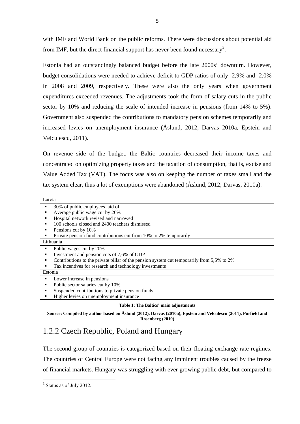with IMF and World Bank on the public reforms. There were discussions about potential aid from IMF, but the direct financial support has never been found necessary<sup>3</sup>.

Estonia had an outstandingly balanced budget before the late 2000s' downturn. However, budget consolidations were needed to achieve deficit to GDP ratios of only -2,9% and -2,0% in 2008 and 2009, respectively. These were also the only years when government expenditures exceeded revenues. The adjustments took the form of salary cuts in the public sector by 10% and reducing the scale of intended increase in pensions (from 14% to 5%). Government also suspended the contributions to mandatory pension schemes temporarily and increased levies on unemployment insurance (Åslund, 2012, Darvas 2010a, Epstein and Velculescu, 2011).

On revenue side of the budget, the Baltic countries decreased their income taxes and concentrated on optimizing property taxes and the taxation of consumption, that is, excise and Value Added Tax (VAT). The focus was also on keeping the number of taxes small and the tax system clear, thus a lot of exemptions were abandoned (Åslund, 2012; Darvas, 2010a).

| Latvia  |                                                                                           |
|---------|-------------------------------------------------------------------------------------------|
|         | 30% of public employees laid off                                                          |
|         | Average public wage cut by 26%                                                            |
|         | Hospital network revised and narrowed                                                     |
|         | 100 schools closed and 2400 teachers dismissed                                            |
|         | Pensions cut by 10%                                                                       |
|         | Private pension fund contributions cut from 10% to 2% temporarily                         |
|         | Lithuania                                                                                 |
| ٠       | Public wages cut by 20%                                                                   |
| ٠       | Investment and pension cuts of 7,6% of GDP                                                |
| ٠       | Contributions to the private pillar of the pension system cut temporarily from 5,5% to 2% |
|         | Tax incentives for research and technology investments                                    |
| Estonia |                                                                                           |
|         | Lower increase in pensions                                                                |
|         | Public sector salaries cut by 10%                                                         |
|         | Suspended contributions to private pension funds                                          |
|         | Higher levies on unemployment insurance                                                   |
|         |                                                                                           |

#### **Table 1: The Baltics' main adjustments**

**Source: Compiled by author based on Åslund (2012), Darvas (2010a), Epstein and Velculescu (2011), Purfield and Rosenberg (2010)** 

### 1.2.2 Czech Republic, Poland and Hungary

The second group of countries is categorized based on their floating exchange rate regimes. The countries of Central Europe were not facing any imminent troubles caused by the freeze of financial markets. Hungary was struggling with ever growing public debt, but compared to

l

<sup>&</sup>lt;sup>3</sup> Status as of July 2012.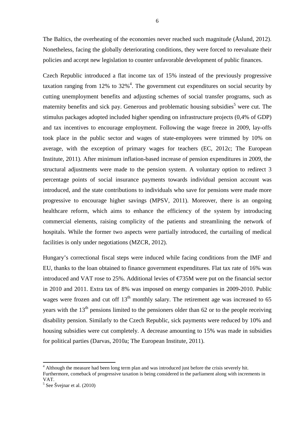The Baltics, the overheating of the economies never reached such magnitude (Åslund, 2012). Nonetheless, facing the globally deteriorating conditions, they were forced to reevaluate their policies and accept new legislation to counter unfavorable development of public finances.

Czech Republic introduced a flat income tax of 15% instead of the previously progressive taxation ranging from 12% to  $32\%$ <sup>4</sup>. The government cut expenditures on social security by cutting unemployment benefits and adjusting schemes of social transfer programs, such as maternity benefits and sick pay. Generous and problematic housing subsidies<sup>5</sup> were cut. The stimulus packages adopted included higher spending on infrastructure projects (0,4% of GDP) and tax incentives to encourage employment. Following the wage freeze in 2009, lay-offs took place in the public sector and wages of state-employees were trimmed by 10% on average, with the exception of primary wages for teachers (EC, 2012c; The European Institute, 2011). After minimum inflation-based increase of pension expenditures in 2009, the structural adjustments were made to the pension system. A voluntary option to redirect 3 percentage points of social insurance payments towards individual pension account was introduced, and the state contributions to individuals who save for pensions were made more progressive to encourage higher savings (MPSV, 2011). Moreover, there is an ongoing healthcare reform, which aims to enhance the efficiency of the system by introducing commercial elements, raising complicity of the patients and streamlining the network of hospitals. While the former two aspects were partially introduced, the curtailing of medical facilities is only under negotiations (MZCR, 2012).

Hungary's correctional fiscal steps were induced while facing conditions from the IMF and EU, thanks to the loan obtained to finance government expenditures. Flat tax rate of 16% was introduced and VAT rose to 25%. Additional levies of  $\epsilon$ 735M were put on the financial sector in 2010 and 2011. Extra tax of 8% was imposed on energy companies in 2009-2010. Public wages were frozen and cut off  $13<sup>th</sup>$  monthly salary. The retirement age was increased to 65 years with the  $13<sup>th</sup>$  pensions limited to the pensioners older than 62 or to the people receiving disability pension. Similarly to the Czech Republic, sick payments were reduced by 10% and housing subsidies were cut completely. A decrease amounting to 15% was made in subsidies for political parties (Darvas, 2010a; The European Institute, 2011).

l

<sup>&</sup>lt;sup>4</sup> Although the measure had been long term plan and was introduced just before the crisis severely hit.

Furthermore, comeback of progressive taxation is being considered in the parliament along with increments in VAT.

<sup>5</sup> See Švejnar et al. (2010)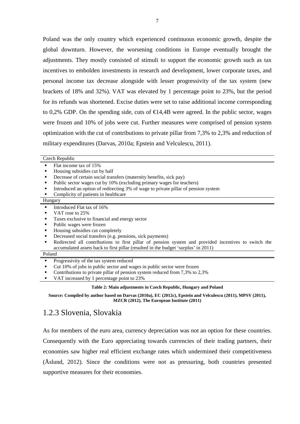Poland was the only country which experienced continuous economic growth, despite the global downturn. However, the worsening conditions in Europe eventually brought the adjustments. They mostly consisted of stimuli to support the economic growth such as tax incentives to embolden investments in research and development, lower corporate taxes, and personal income tax decrease alongside with lesser progressivity of the tax system (new brackets of 18% and 32%). VAT was elevated by 1 percentage point to 23%, but the period for its refunds was shortened. Excise duties were set to raise additional income corresponding to 0,2% GDP. On the spending side, cuts of  $\epsilon$ 14,4B were agreed. In the public sector, wages were frozen and 10% of jobs were cut. Further measures were comprised of pension system optimization with the cut of contributions to private pillar from 7,3% to 2,3% and reduction of military expenditures (Darvas, 2010a; Epstein and Velculescu, 2011).

| Czech Republic                                                                                       |  |  |  |  |
|------------------------------------------------------------------------------------------------------|--|--|--|--|
| Flat income tax of 15%                                                                               |  |  |  |  |
| Housing subsidies cut by half                                                                        |  |  |  |  |
| Decrease of certain social transfers (maternity benefits, sick pay)                                  |  |  |  |  |
| Public sector wages cut by 10% (excluding primary wages for teachers)                                |  |  |  |  |
| Introduced an option of redirecting 3% of wage to private pillar of pension system                   |  |  |  |  |
| Complicity of patients in healthcare                                                                 |  |  |  |  |
| Hungary                                                                                              |  |  |  |  |
| Introduced Flat tax of 16%<br>$\blacksquare$                                                         |  |  |  |  |
| VAT rose to 25%                                                                                      |  |  |  |  |
| Taxes exclusive to financial and energy sector                                                       |  |  |  |  |
| Public wages were frozen                                                                             |  |  |  |  |
| Housing subsidies cut completely                                                                     |  |  |  |  |
| Decreased social transfers (e.g. pensions, sick payments)                                            |  |  |  |  |
| Redirected all contributions to first pillar of pension system and provided incentives to switch the |  |  |  |  |
| accumulated assets back to first pillar (resulted in the budget 'surplus' in 2011)                   |  |  |  |  |
| Poland                                                                                               |  |  |  |  |
| Progressivity of the tax system reduced                                                              |  |  |  |  |
| Cut 10% of jobs in public sector and wages in public sector were frozen                              |  |  |  |  |
| Contributions to private pillar of pension system reduced from 7,3% to 2,3%                          |  |  |  |  |
| VAT increased by 1 percentage point to 23%                                                           |  |  |  |  |
| Table 2: Main adjustments in Czech Republic, Hungary and Poland                                      |  |  |  |  |

**Source: Compiled by author based on Darvas (2010a), EC (2012c), Epstein and Velculescu (2011), MPSV (2011), MZCR (2012), The European Institute (2011)**

### 1.2.3 Slovenia, Slovakia

As for members of the euro area, currency depreciation was not an option for these countries. Consequently with the Euro appreciating towards currencies of their trading partners, their economies saw higher real efficient exchange rates which undermined their competitiveness (Åslund, 2012). Since the conditions were not as pressuring, both countries presented supportive measures for their economies.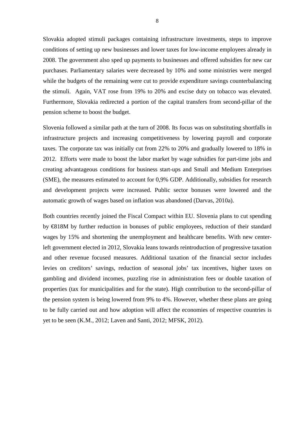Slovakia adopted stimuli packages containing infrastructure investments, steps to improve conditions of setting up new businesses and lower taxes for low-income employees already in 2008. The government also sped up payments to businesses and offered subsidies for new car purchases. Parliamentary salaries were decreased by 10% and some ministries were merged while the budgets of the remaining were cut to provide expenditure savings counterbalancing the stimuli. Again, VAT rose from 19% to 20% and excise duty on tobacco was elevated. Furthermore, Slovakia redirected a portion of the capital transfers from second-pillar of the pension scheme to boost the budget.

Slovenia followed a similar path at the turn of 2008. Its focus was on substituting shortfalls in infrastructure projects and increasing competitiveness by lowering payroll and corporate taxes. The corporate tax was initially cut from 22% to 20% and gradually lowered to 18% in 2012. Efforts were made to boost the labor market by wage subsidies for part-time jobs and creating advantageous conditions for business start-ups and Small and Medium Enterprises (SME), the measures estimated to account for 0,9% GDP. Additionally, subsidies for research and development projects were increased. Public sector bonuses were lowered and the automatic growth of wages based on inflation was abandoned (Darvas, 2010a).

Both countries recently joined the Fiscal Compact within EU. Slovenia plans to cut spending by €818M by further reduction in bonuses of public employees, reduction of their standard wages by 15% and shortening the unemployment and healthcare benefits. With new centerleft government elected in 2012, Slovakia leans towards reintroduction of progressive taxation and other revenue focused measures. Additional taxation of the financial sector includes levies on creditors' savings, reduction of seasonal jobs' tax incentives, higher taxes on gambling and dividend incomes, puzzling rise in administration fees or double taxation of properties (tax for municipalities and for the state). High contribution to the second-pillar of the pension system is being lowered from 9% to 4%. However, whether these plans are going to be fully carried out and how adoption will affect the economies of respective countries is yet to be seen (K.M., 2012; Laven and Santi, 2012; MFSK, 2012).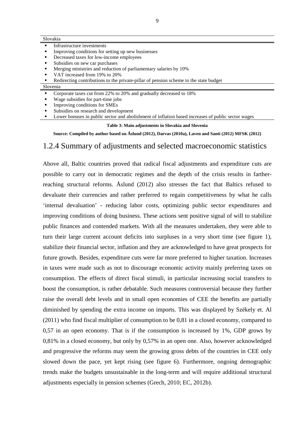|                | Slovakia                                                          |  |  |
|----------------|-------------------------------------------------------------------|--|--|
| $\blacksquare$ | Infrastructure investments                                        |  |  |
|                | Improving conditions for setting up new businesses                |  |  |
| п.             | Decreased taxes for low-income employees                          |  |  |
| п.             | Subsidies on new car purchases                                    |  |  |
| п.             | Merging ministries and reduction of parliamentary salaries by 10% |  |  |
| $\blacksquare$ | VAT increased from 19% to 20%                                     |  |  |

Redirecting contributions to the private-pillar of pension scheme to the state budget

#### Slovenia

- Corporate taxes cut from 22% to 20% and gradually decreased to 18%
- Wage subsidies for part-time jobs
- Improving conditions for SMEs
- Subsidies on research and development
- **Lower bonuses in public sector and abolishment of inflation based increases of public sector wages**

#### **Table 3: Main adjustments in Slovakia and Slovenia**

**Source: Compiled by author based on Åslund (2012), Darvas (2010a), Laven and Santi (2012) MFSK (2012)**

#### 1.2.4 Summary of adjustments and selected macroeconomic statistics

Above all, Baltic countries proved that radical fiscal adjustments and expenditure cuts are possible to carry out in democratic regimes and the depth of the crisis results in fartherreaching structural reforms. Åslund (2012) also stresses the fact that Baltics refused to devaluate their currencies and rather preferred to regain competitiveness by what he calls 'internal devaluation' - reducing labor costs, optimizing public sector expenditures and improving conditions of doing business. These actions sent positive signal of will to stabilize public finances and contended markets. With all the measures undertaken, they were able to turn their large current account deficits into surpluses in a very short time (see figure 1), stabilize their financial sector, inflation and they are acknowledged to have great prospects for future growth. Besides, expenditure cuts were far more preferred to higher taxation. Increases in taxes were made such as not to discourage economic activity mainly preferring taxes on consumption. The effects of direct fiscal stimuli, in particular increasing social transfers to boost the consumption, is rather debatable. Such measures controversial because they further raise the overall debt levels and in small open economies of CEE the benefits are partially diminished by spending the extra income on imports. This was displayed by Székely et. Al (2011) who find fiscal multiplier of consumption to be 0,81 in a closed economy, compared to 0,57 in an open economy. That is if the consumption is increased by 1%, GDP grows by 0,81% in a closed economy, but only by 0,57% in an open one. Also, however acknowledged and progressive the reforms may seem the growing gross debts of the countries in CEE only slowed down the pace, yet kept rising (see figure 6). Furthermore, ongoing demographic trends make the budgets unsustainable in the long-term and will require additional structural adjustments especially in pension schemes (Grech, 2010; EC, 2012b).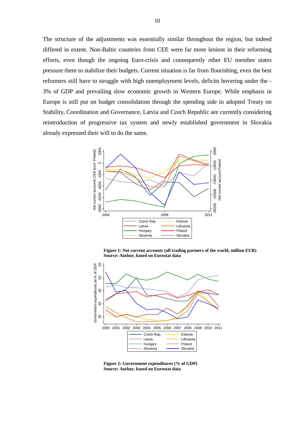The structure of the adjustments was essentially similar throughout the region, but indeed differed in extent. Non-Baltic countries from CEE were far more lenient in their reforming efforts, even though the ongoing Euro-crisis and consequently other EU member states pressure them to stabilize their budgets. Current situation is far from flourishing, even the best reformers still have to struggle with high unemployment levels, deficits hovering under the - 3% of GDP and prevailing slow economic growth in Western Europe. While emphasis in Europe is still put on budget consolidation through the spending side in adopted Treaty on Stability, Coordination and Governance, Latvia and Czech Republic are currently considering reintroduction of progressive tax system and newly established government in Slovakia already expressed their will to do the same.



**Figure 1: Net current accounts (all trading partners of the world, million EUR) Source: Author, based on Eurostat data**



**Figure 2: Government expenditures (% of GDP) Source: Author, based on Eurostat data**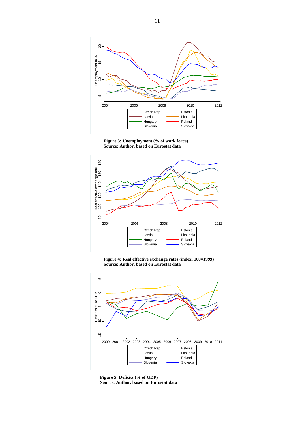

**Figure 3: Unemployment (% of work force) Source: Author, based on Eurostat data** 



**Figure 4: Real effective exchange rates (index, 100=1999) Source: Author, based on Eurostat data** 



**Figure 5: Deficits (% of GDP) Source: Author, based on Eurostat data**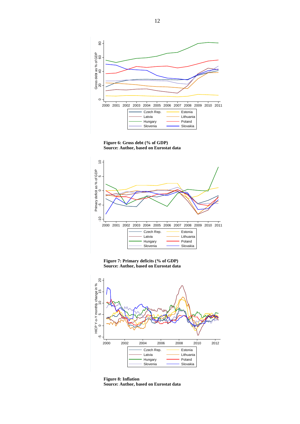

**Figure 6: Gross debt (% of GDP) Source: Author, based on Eurostat data** 



**Figure 7: Primary deficits (% of GDP) Source: Author, based on Eurostat data** 



**Figure 8: Inflation Source: Author, based on Eurostat data**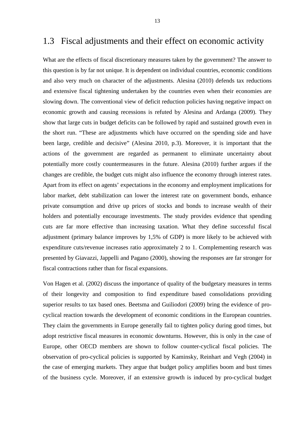#### 1.3 Fiscal adjustments and their effect on economic activity

What are the effects of fiscal discretionary measures taken by the government? The answer to this question is by far not unique. It is dependent on individual countries, economic conditions and also very much on character of the adjustments. Alesina (2010) defends tax reductions and extensive fiscal tightening undertaken by the countries even when their economies are slowing down. The conventional view of deficit reduction policies having negative impact on economic growth and causing recessions is refuted by Alesina and Ardanga (2009). They show that large cuts in budget deficits can be followed by rapid and sustained growth even in the short run. "These are adjustments which have occurred on the spending side and have been large, credible and decisive" (Alesina 2010, p.3). Moreover, it is important that the actions of the government are regarded as permanent to eliminate uncertainty about potentially more costly countermeasures in the future. Alesina (2010) further argues if the changes are credible, the budget cuts might also influence the economy through interest rates. Apart from its effect on agents' expectations in the economy and employment implications for labor market, debt stabilization can lower the interest rate on government bonds, enhance private consumption and drive up prices of stocks and bonds to increase wealth of their holders and potentially encourage investments. The study provides evidence that spending cuts are far more effective than increasing taxation. What they define successful fiscal adjustment (primary balance improves by 1,5% of GDP) is more likely to be achieved with expenditure cuts/revenue increases ratio approximately 2 to 1. Complementing research was presented by Giavazzi, Jappelli and Pagano (2000), showing the responses are far stronger for fiscal contractions rather than for fiscal expansions.

Von Hagen et al. (2002) discuss the importance of quality of the budgetary measures in terms of their longevity and composition to find expenditure based consolidations providing superior results to tax based ones. Beetsma and Guiliodori (2009) bring the evidence of procyclical reaction towards the development of economic conditions in the European countries. They claim the governments in Europe generally fail to tighten policy during good times, but adopt restrictive fiscal measures in economic downturns. However, this is only in the case of Europe, other OECD members are shown to follow counter-cyclical fiscal policies. The observation of pro-cyclical policies is supported by Kaminsky, Reinhart and Vegh (2004) in the case of emerging markets. They argue that budget policy amplifies boom and bust times of the business cycle. Moreover, if an extensive growth is induced by pro-cyclical budget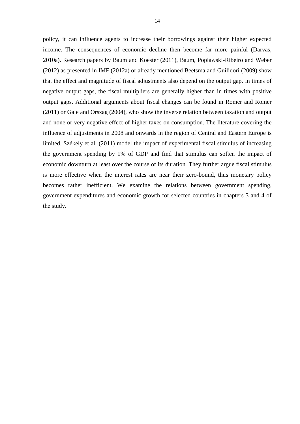policy, it can influence agents to increase their borrowings against their higher expected income. The consequences of economic decline then become far more painful (Darvas, 2010a). Research papers by Baum and Koester (2011), Baum, Poplawski-Ribeiro and Weber (2012) as presented in IMF (2012a) or already mentioned Beetsma and Guilidori (2009) show that the effect and magnitude of fiscal adjustments also depend on the output gap. In times of negative output gaps, the fiscal multipliers are generally higher than in times with positive output gaps. Additional arguments about fiscal changes can be found in Romer and Romer (2011) or Gale and Orszag (2004), who show the inverse relation between taxation and output and none or very negative effect of higher taxes on consumption. The literature covering the influence of adjustments in 2008 and onwards in the region of Central and Eastern Europe is limited. Székely et al. (2011) model the impact of experimental fiscal stimulus of increasing the government spending by 1% of GDP and find that stimulus can soften the impact of economic downturn at least over the course of its duration. They further argue fiscal stimulus is more effective when the interest rates are near their zero-bound, thus monetary policy becomes rather inefficient. We examine the relations between government spending, government expenditures and economic growth for selected countries in chapters 3 and 4 of the study.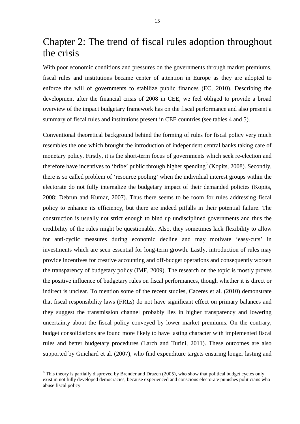# Chapter 2: The trend of fiscal rules adoption throughout the crisis

With poor economic conditions and pressures on the governments through market premiums, fiscal rules and institutions became center of attention in Europe as they are adopted to enforce the will of governments to stabilize public finances (EC, 2010). Describing the development after the financial crisis of 2008 in CEE, we feel obliged to provide a broad overview of the impact budgetary framework has on the fiscal performance and also present a summary of fiscal rules and institutions present in CEE countries (see tables 4 and 5).

Conventional theoretical background behind the forming of rules for fiscal policy very much resembles the one which brought the introduction of independent central banks taking care of monetary policy. Firstly, it is the short-term focus of governments which seek re-election and therefore have incentives to 'bribe' public through higher spending<sup>6</sup> (Kopits, 2008). Secondly, there is so called problem of 'resource pooling' when the individual interest groups within the electorate do not fully internalize the budgetary impact of their demanded policies (Kopits, 2008; Debrun and Kumar, 2007). Thus there seems to be room for rules addressing fiscal policy to enhance its efficiency, but there are indeed pitfalls in their potential failure. The construction is usually not strict enough to bind up undisciplined governments and thus the credibility of the rules might be questionable. Also, they sometimes lack flexibility to allow for anti-cyclic measures during economic decline and may motivate 'easy-cuts' in investments which are seen essential for long-term growth. Lastly, introduction of rules may provide incentives for creative accounting and off-budget operations and consequently worsen the transparency of budgetary policy (IMF, 2009). The research on the topic is mostly proves the positive influence of budgetary rules on fiscal performances, though whether it is direct or indirect is unclear. To mention some of the recent studies, Caceres et al. (2010) demonstrate that fiscal responsibility laws (FRLs) do not have significant effect on primary balances and they suggest the transmission channel probably lies in higher transparency and lowering uncertainty about the fiscal policy conveyed by lower market premiums. On the contrary, budget consolidations are found more likely to have lasting character with implemented fiscal rules and better budgetary procedures (Larch and Turini, 2011). These outcomes are also supported by Guichard et al. (2007), who find expenditure targets ensuring longer lasting and

 $\overline{a}$ 

<sup>&</sup>lt;sup>6</sup> This theory is partially disproved by Brender and Drazen (2005), who show that political budget cycles only exist in not fully developed democracies, because experienced and conscious electorate punishes politicians who abuse fiscal policy.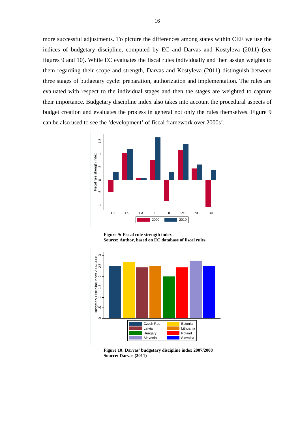more successful adjustments. To picture the differences among states within CEE we use the indices of budgetary discipline, computed by EC and Darvas and Kostyleva (2011) (see figures 9 and 10). While EC evaluates the fiscal rules individually and then assign weights to them regarding their scope and strength, Darvas and Kostyleva (2011) distinguish between three stages of budgetary cycle: preparation, authorization and implementation. The rules are evaluated with respect to the individual stages and then the stages are weighted to capture their importance. Budgetary discipline index also takes into account the procedural aspects of budget creation and evaluates the process in general not only the rules themselves. Figure 9 can be also used to see the 'development' of fiscal framework over 2000s'.



**Figure 9: Fiscal rule strength index Source: Author, based on EC database of fiscal rules**



**Figure 10: Darvas' budgetary discipline index 2007/2008 Source: Darvas (2011)**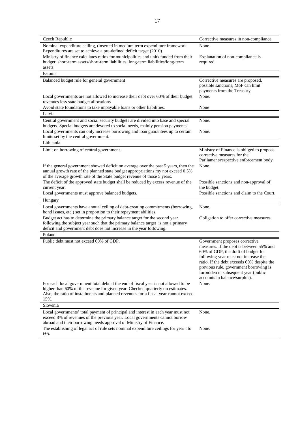| Czech Republic                                                                                                                                                            | Corrective measures in non-compliance                                          |
|---------------------------------------------------------------------------------------------------------------------------------------------------------------------------|--------------------------------------------------------------------------------|
| Nominal expenditure ceiling, (inserted in medium term expenditure framework.                                                                                              | None.                                                                          |
| Expenditures are set to achieve a pre-defined deficit target (2010)                                                                                                       |                                                                                |
| Ministry of finance calculates ratios for municipalities and units funded from their<br>budget: short-term assets/short-term liabilities, long-term liabilities/long-term | Explanation of non-compliance is<br>required.                                  |
| assets.                                                                                                                                                                   |                                                                                |
| Estonia                                                                                                                                                                   |                                                                                |
| Balanced budget rule for general government                                                                                                                               | Corrective measures are proposed,                                              |
|                                                                                                                                                                           | possible sanctions, MoF can limit                                              |
|                                                                                                                                                                           | payments from the Treasury.                                                    |
| Local governments are not allowed to increase their debt over 60% of their budget<br>revenues less state budget allocations                                               | None.                                                                          |
| Avoid state foundations to take impayable loans or other liabilities.                                                                                                     | None                                                                           |
| Latvia                                                                                                                                                                    |                                                                                |
| Central government and social security budgets are divided into base and special                                                                                          | None.                                                                          |
| budgets. Special budgets are devoted to social needs, mainly pension payments.                                                                                            |                                                                                |
| Local governments can only increase borrowing and loan guarantees up to certain                                                                                           | None.                                                                          |
| limits set by the central government.                                                                                                                                     |                                                                                |
| Lithuania<br>Limit on borrowing of central government.                                                                                                                    | Ministry of Finance is obliged to propose                                      |
|                                                                                                                                                                           | corrective measures for the                                                    |
|                                                                                                                                                                           | Parliament/respective enforcement body                                         |
| If the general government showed deficit on average over the past 5 years, then the                                                                                       | None.                                                                          |
| annual growth rate of the planned state budget appropriations my not exceed 0,5%                                                                                          |                                                                                |
| of the average growth rate of the State budget revenue of those 5 years.                                                                                                  |                                                                                |
| The deficit of the approved state budget shall be reduced by excess revenue of the<br>current year.                                                                       | Possible sanctions and non-approval of<br>the budget.                          |
| Local governments must approve balanced budgets.                                                                                                                          | Possible sanctions and claim to the Court.                                     |
| Hungary                                                                                                                                                                   |                                                                                |
| Local governments have annual ceiling of debt-creating commitments (borrowing,                                                                                            | None.                                                                          |
| bond issues, etc.) set in proportion to their repayment abilities.                                                                                                        |                                                                                |
| Budget act has to determine the primary balance target for the second year                                                                                                | Obligation to offer corrective measures.                                       |
| following the subject year such that the primary balance target is not a primary                                                                                          |                                                                                |
| deficit and government debt does not increase in the year following.<br>Poland                                                                                            |                                                                                |
| Public debt must not exceed 60% of GDP.                                                                                                                                   | Government proposes corrective                                                 |
|                                                                                                                                                                           | measures. If the debt is between 55% and                                       |
|                                                                                                                                                                           | 60% of GDP, the draft of budget for                                            |
|                                                                                                                                                                           | following year must not increase the                                           |
|                                                                                                                                                                           | ratio. If the debt exceeds 60% despite the                                     |
|                                                                                                                                                                           | previous rule, government borrowing is<br>forbidden in subsequent year (public |
|                                                                                                                                                                           | accounts in balance/surplus).                                                  |
| For each local government total debt at the end of fiscal year is not allowed to be                                                                                       | None.                                                                          |
| higher than 60% of the revenue for given year. Checked quarterly on estimates.                                                                                            |                                                                                |
| Also, the ratio of installments and planned revenues for a fiscal year cannot exceed                                                                                      |                                                                                |
| 15%.<br>Slovenia                                                                                                                                                          |                                                                                |
| Local governments' total payment of principal and interest in each year must not                                                                                          | None.                                                                          |
| exceed 8% of revenues of the previous year. Local governments cannot borrow                                                                                               |                                                                                |
| abroad and their borrowing needs approval of Ministry of Finance.                                                                                                         |                                                                                |
| The establishing of legal act of rule sets nominal expenditure ceilings for year t to                                                                                     | None.                                                                          |
| $t + 5$ .                                                                                                                                                                 |                                                                                |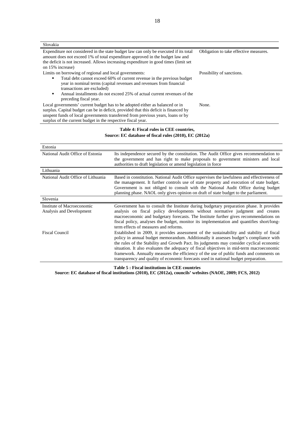| Slovakia                                                                                                                                                                                                                                                                                                                                   |                           |  |
|--------------------------------------------------------------------------------------------------------------------------------------------------------------------------------------------------------------------------------------------------------------------------------------------------------------------------------------------|---------------------------|--|
| Expenditure not considered in the state budget law can only be executed if its total<br>Obligation to take effective measures.<br>amount does not exceed 1% of total expenditure approved in the budget law and<br>the deficit is not increased. Allows increasing expenditure in good times (limit set<br>on 15% increase)                |                           |  |
| Limits on borrowing of regional and local governments:<br>Total debt cannot exceed 60% of current revenue in the previous budget<br>year in nominal terms (capital revenues and revenues from financial<br>transactions are excluded)<br>Annual installments do not exceed 25% of actual current revenues of the<br>preceding fiscal year. | Possibility of sanctions. |  |
| Local governments' current budget has to be adopted either as balanced or in<br>surplus. Capital budget can be in deficit, provided that this deficit is financed by<br>unspent funds of local governments transferred from previous years, loans or by<br>surplus of the current budget in the respective fiscal year.                    | None.                     |  |
|                                                                                                                                                                                                                                                                                                                                            |                           |  |

#### **Table 4: Fiscal rules in CEE countries, Source: EC database of fiscal rules (2010), EC (2012a)**

| Estonia                                                |                                                                                                                                                                                                                                                                                                                                                                                                                                                                                                                                                             |  |
|--------------------------------------------------------|-------------------------------------------------------------------------------------------------------------------------------------------------------------------------------------------------------------------------------------------------------------------------------------------------------------------------------------------------------------------------------------------------------------------------------------------------------------------------------------------------------------------------------------------------------------|--|
| National Audit Office of Estonia                       | Its independence secured by the constitution. The Audit Office gives recommendation to<br>the government and has right to make proposals to government ministers and local<br>authorities to draft legislation or amend legislation in force                                                                                                                                                                                                                                                                                                                |  |
| Lithuania                                              |                                                                                                                                                                                                                                                                                                                                                                                                                                                                                                                                                             |  |
| National Audit Office of Lithuania                     | Based in constitution. National Audit Office supervises the lawfulness and effectiveness of<br>the management. It further controls use of state property and execution of state budget.<br>Government is not obliged to consult with the National Audit Office during budget<br>planning phase. NAOL only gives opinion on draft of state budget to the parliament.                                                                                                                                                                                         |  |
| Slovenia                                               |                                                                                                                                                                                                                                                                                                                                                                                                                                                                                                                                                             |  |
| Institute of Macroeconomic<br>Analysis and Development | Government has to consult the Institute during budgetary preparation phase. It provides<br>analysis on fiscal policy developments without normative judgment and creates<br>macroeconomic and budgetary forecasts. The Institute further gives recommendations on<br>fiscal policy, analyses the budget, monitor its implementation and quantifies short/long-<br>term effects of measures and reforms.                                                                                                                                                     |  |
| <b>Fiscal Council</b>                                  | Established in 2009, it provides assessment of the sustainability and stability of fiscal<br>policy in annual budget memorandum. Additionally it assesses budget's compliance with<br>the rules of the Stability and Growth Pact. Its judgments may consider cyclical economic<br>situation. It also evaluates the adequacy of fiscal objectives in mid-term macroeconomic<br>framework. Annually measures the efficiency of the use of public funds and comments on<br>transparency and quality of economic forecasts used in national budget preparation. |  |

**Table 5 : Fiscal institutions in CEE countries** 

**Source: EC database of fiscal institutions (2010), EC (2012a), councils' websites (NAOE, 2009; FCS, 2012)**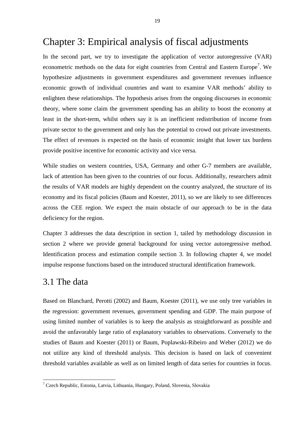# Chapter 3: Empirical analysis of fiscal adjustments

In the second part, we try to investigate the application of vector autoregressive (VAR) econometric methods on the data for eight countries from Central and Eastern Europe<sup>7</sup>. We hypothesize adjustments in government expenditures and government revenues influence economic growth of individual countries and want to examine VAR methods' ability to enlighten these relationships. The hypothesis arises from the ongoing discourses in economic theory, where some claim the government spending has an ability to boost the economy at least in the short-term, whilst others say it is an inefficient redistribution of income from private sector to the government and only has the potential to crowd out private investments. The effect of revenues is expected on the basis of economic insight that lower tax burdens provide positive incentive for economic activity and vice versa.

While studies on western countries, USA, Germany and other G-7 members are available, lack of attention has been given to the countries of our focus. Additionally, researchers admit the results of VAR models are highly dependent on the country analyzed, the structure of its economy and its fiscal policies (Baum and Koester, 2011), so we are likely to see differences across the CEE region. We expect the main obstacle of our approach to be in the data deficiency for the region.

Chapter 3 addresses the data description in section 1, tailed by methodology discussion in section 2 where we provide general background for using vector autoregressive method. Identification process and estimation compile section 3. In following chapter 4, we model impulse response functions based on the introduced structural identification framework.

#### 3.1 The data

l

Based on Blanchard, Perotti (2002) and Baum, Koester (2011), we use only tree variables in the regression: government revenues, government spending and GDP. The main purpose of using limited number of variables is to keep the analysis as straightforward as possible and avoid the unfavorably large ratio of explanatory variables to observations. Conversely to the studies of Baum and Koester (2011) or Baum, Poplawski-Ribeiro and Weber (2012) we do not utilize any kind of threshold analysis. This decision is based on lack of convenient threshold variables available as well as on limited length of data series for countries in focus.

<sup>&</sup>lt;sup>7</sup> Czech Republic, Estonia, Latvia, Lithuania, Hungary, Poland, Slovenia, Slovakia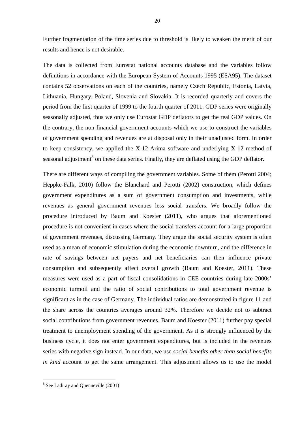Further fragmentation of the time series due to threshold is likely to weaken the merit of our results and hence is not desirable.

The data is collected from Eurostat national accounts database and the variables follow definitions in accordance with the European System of Accounts 1995 (ESA95). The dataset contains 52 observations on each of the countries, namely Czech Republic, Estonia, Latvia, Lithuania, Hungary, Poland, Slovenia and Slovakia. It is recorded quarterly and covers the period from the first quarter of 1999 to the fourth quarter of 2011. GDP series were originally seasonally adjusted, thus we only use Eurostat GDP deflators to get the real GDP values. On the contrary, the non-financial government accounts which we use to construct the variables of government spending and revenues are at disposal only in their unadjusted form. In order to keep consistency, we applied the X-12-Arima software and underlying X-12 method of seasonal adjustment<sup>8</sup> on these data series. Finally, they are deflated using the GDP deflator.

There are different ways of compiling the government variables. Some of them (Perotti 2004; Heppke-Falk, 2010) follow the Blanchard and Perotti (2002) construction, which defines government expenditures as a sum of government consumption and investments, while revenues as general government revenues less social transfers. We broadly follow the procedure introduced by Baum and Koester (2011), who argues that aforementioned procedure is not convenient in cases where the social transfers account for a large proportion of government revenues, discussing Germany. They argue the social security system is often used as a mean of economic stimulation during the economic downturn, and the difference in rate of savings between net payers and net beneficiaries can then influence private consumption and subsequently affect overall growth (Baum and Koester, 2011). These measures were used as a part of fiscal consolidations in CEE countries during late 2000s' economic turmoil and the ratio of social contributions to total government revenue is significant as in the case of Germany. The individual ratios are demonstrated in figure 11 and the share across the countries averages around 32%. Therefore we decide not to subtract social contributions from government revenues. Baum and Koester (2011) further pay special treatment to unemployment spending of the government. As it is strongly influenced by the business cycle, it does not enter government expenditures, but is included in the revenues series with negative sign instead. In our data, we use *social benefits other than social benefits in kind* account to get the same arrangement. This adjustment allows us to use the model

l

<sup>&</sup>lt;sup>8</sup> See Ladiray and Quenneville (2001)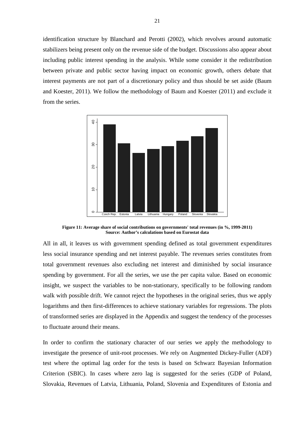identification structure by Blanchard and Perotti (2002), which revolves around automatic stabilizers being present only on the revenue side of the budget. Discussions also appear about including public interest spending in the analysis. While some consider it the redistribution between private and public sector having impact on economic growth, others debate that interest payments are not part of a discretionary policy and thus should be set aside (Baum and Koester, 2011). We follow the methodology of Baum and Koester (2011) and exclude it from the series.



**Figure 11: Average share of social contributions on governments' total revenues (in %, 1999-2011) Source: Author's calculations based on Eurostat data**

All in all, it leaves us with government spending defined as total government expenditures less social insurance spending and net interest payable. The revenues series constitutes from total government revenues also excluding net interest and diminished by social insurance spending by government. For all the series, we use the per capita value. Based on economic insight, we suspect the variables to be non-stationary, specifically to be following random walk with possible drift. We cannot reject the hypotheses in the original series, thus we apply logarithms and then first-differences to achieve stationary variables for regressions. The plots of transformed series are displayed in the Appendix and suggest the tendency of the processes to fluctuate around their means.

In order to confirm the stationary character of our series we apply the methodology to investigate the presence of unit-root processes. We rely on Augmented Dickey-Fuller (ADF) test where the optimal lag order for the tests is based on Schwarz Bayesian Information Criterion (SBIC). In cases where zero lag is suggested for the series (GDP of Poland, Slovakia, Revenues of Latvia, Lithuania, Poland, Slovenia and Expenditures of Estonia and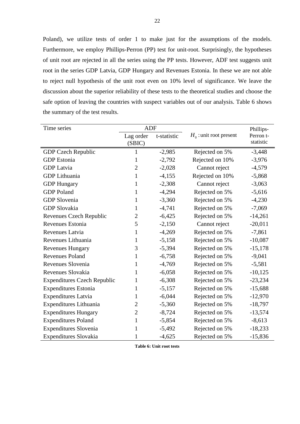Poland), we utilize tests of order 1 to make just for the assumptions of the models. Furthermore, we employ Phillips-Perron (PP) test for unit-root. Surprisingly, the hypotheses of unit root are rejected in all the series using the PP tests. However, ADF test suggests unit root in the series GDP Latvia, GDP Hungary and Revenues Estonia. In these we are not able to reject null hypothesis of the unit root even on 10% level of significance. We leave the discussion about the superior reliability of these tests to the theoretical studies and choose the safe option of leaving the countries with suspect variables out of our analysis. Table 6 shows the summary of the test results.

| Time series                        | <b>ADF</b>     |             |                           | Phillips- |
|------------------------------------|----------------|-------------|---------------------------|-----------|
|                                    | Lag order      | t-statistic | $H_0$ : unit root present | Perron t- |
|                                    | (SBIC)         |             |                           | statistic |
| <b>GDP Czech Republic</b>          | 1              | $-2,985$    | Rejected on 5%            | $-3,448$  |
| <b>GDP</b> Estonia                 | 1              | $-2,792$    | Rejected on 10%           | $-3,976$  |
| <b>GDP</b> Latvia                  | $\overline{2}$ | $-2,028$    | Cannot reject             | $-4,579$  |
| <b>GDP</b> Lithuania               | $\mathbf{1}$   | $-4,155$    | Rejected on 10%           | $-5,868$  |
| <b>GDP Hungary</b>                 | 1              | $-2,308$    | Cannot reject             | $-3,063$  |
| <b>GDP</b> Poland                  | $\mathbf{1}$   | $-4,294$    | Rejected on 5%            | $-5,616$  |
| <b>GDP</b> Slovenia                | 1              | $-3,360$    | Rejected on 5%            | $-4,230$  |
| <b>GDP</b> Slovakia                | 1              | $-4,741$    | Rejected on 5%            | $-7,069$  |
| Revenues Czech Republic            | $\overline{2}$ | $-6,425$    | Rejected on 5%            | $-14,261$ |
| Revenues Estonia                   | 5              | $-2,150$    | Cannot reject             | $-20,011$ |
| Revenues Latvia                    | 1              | $-4,269$    | Rejected on 5%            | $-7,861$  |
| Revenues Lithuania                 | 1              | $-5,158$    | Rejected on 5%            | $-10,087$ |
| <b>Revenues Hungary</b>            | 3              | $-5,394$    | Rejected on 5%            | $-15,178$ |
| <b>Revenues Poland</b>             | 1              | $-6,758$    | Rejected on 5%            | $-9,041$  |
| Revenues Slovenia                  | 1              | $-4,769$    | Rejected on 5%            | $-5,581$  |
| Revenues Slovakia                  | 1              | $-6,058$    | Rejected on 5%            | $-10,125$ |
| <b>Expenditures Czech Republic</b> | 1              | $-6,308$    | Rejected on 5%            | $-23,234$ |
| <b>Expenditures Estonia</b>        | 1              | $-5,157$    | Rejected on 5%            | $-15,688$ |
| <b>Expenditures Latvia</b>         | 1              | $-6,044$    | Rejected on 5%            | $-12,970$ |
| Expenditures Lithuania             | $\overline{2}$ | $-5,360$    | Rejected on 5%            | $-18,797$ |
| <b>Expenditures Hungary</b>        | $\overline{2}$ | $-8,724$    | Rejected on 5%            | $-13,574$ |
| <b>Expenditures Poland</b>         | $\mathbf{1}$   | $-5,854$    | Rejected on 5%            | $-8,613$  |
| <b>Expenditures Slovenia</b>       | 1              | $-5,492$    | Rejected on 5%            | $-18,233$ |
| Expenditures Slovakia              | $\mathbf{1}$   | $-4,625$    | Rejected on 5%            | $-15,836$ |

**Table 6: Unit root tests**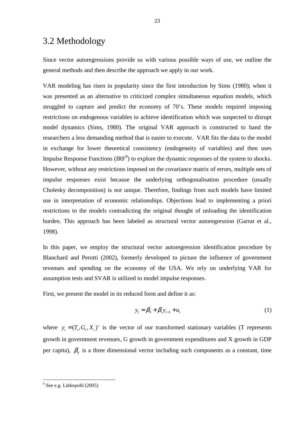## 3.2 Methodology

Since vector autoregressions provide us with various possible ways of use, we outline the general methods and then describe the approach we apply in our work.

VAR modeling has risen in popularity since the first introduction by Sims (1980); when it was presented as an alternative to criticized complex simultaneous equation models, which struggled to capture and predict the economy of 70's. These models required imposing restrictions on endogenous variables to achieve identification which was suspected to disrupt model dynamics (Sims, 1980). The original VAR approach is constructed to hand the researchers a less demanding method that is easier to execute. VAR fits the data to the model in exchange for lower theoretical consistency (endogeneity of variables) and then uses Impulse Response Functions  $(\text{IRF}^9)$  to explore the dynamic responses of the system to shocks. However, without any restrictions imposed on the covariance matrix of errors, multiple sets of impulse responses exist because the underlying orthogonalisation procedure (usually Cholesky decomposition) is not unique. Therefore, findings from such models have limited use in interpretation of economic relationships. Objections lead to implementing a priori restrictions to the models contradicting the original thought of unloading the identification burden. This approach has been labeled as structural vector autoregression (Garrat et al., 1998).

In this paper, we employ the structural vector autoregression identification procedure by Blanchard and Perotti (2002), formerly developed to picture the influence of government revenues and spending on the economy of the USA. We rely on underlying VAR for assumption tests and SVAR is utilized to model impulse responses.

First, we present the model in its reduced form and define it as:

$$
y_t = \beta_0 + \beta_1 y_{t-1} + u_t
$$
 (1)

where  $y_t = (T_t, G_t, X_t)'$  is the vector of our transformed stationary variables (T represents growth in government revenues, G growth in government expenditures and X growth in GDP per capita),  $\beta_0$  is a three dimensional vector including such components as a constant, time

l

<sup>9</sup> See e.g. Lütkepohl (2005)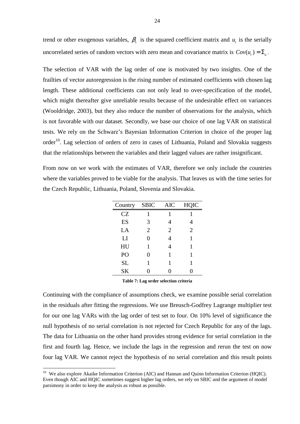trend or other exogenous variables,  $\beta_1$  is the squared coefficient matrix and  $u_t$  is the serially uncorrelated series of random vectors with zero mean and covariance matrix is  $Cov(u_t) = \sum_u$ .

The selection of VAR with the lag order of one is motivated by two insights. One of the frailties of vector autoregression is the rising number of estimated coefficients with chosen lag length. These additional coefficients can not only lead to over-specification of the model, which might thereafter give unreliable results because of the undesirable effect on variances (Wooldridge, 2003), but they also reduce the number of observations for the analysis, which is not favorable with our dataset. Secondly, we base our choice of one lag VAR on statistical tests. We rely on the Schwarz's Bayesian Information Criterion in choice of the proper lag order<sup>10</sup>. Lag selection of orders of zero in cases of Lithuania, Poland and Slovakia suggests that the relationships between the variables and their lagged values are rather insignificant.

From now on we work with the estimates of VAR, therefore we only include the countries where the variables proved to be viable for the analysis. That leaves us with the time series for the Czech Republic, Lithuania, Poland, Slovenia and Slovakia.

| Country   | <b>SBIC</b> | <b>AIC</b>     | <b>HQIC</b>    |
|-----------|-------------|----------------|----------------|
| CZ        | 1           | 1              |                |
| ES        | 3           | 4              |                |
| LA        | 2           | $\overline{2}$ | $\overline{2}$ |
| LI        | 0           | $\overline{4}$ | 1              |
| HU        | 1           | 4              | 1              |
| PO        | 0           | 1              | 1              |
| <b>SL</b> | 1           | 1              | 1              |
| <b>SK</b> | 0           | ( )            | 0              |

**Table 7: Lag order selection criteria** 

Continuing with the compliance of assumptions check, we examine possible serial correlation in the residuals after fitting the regressions. We use Breusch-Godfrey Lagrange multiplier test for our one lag VARs with the lag order of test set to four. On 10% level of significance the null hypothesis of no serial correlation is not rejected for Czech Republic for any of the lags. The data for Lithuania on the other hand provides strong evidence for serial correlation in the first and fourth lag. Hence, we include the lags in the regression and rerun the test on now four lag VAR. We cannot reject the hypothesis of no serial correlation and this result points

 $\overline{a}$ 

<sup>&</sup>lt;sup>10</sup> We also explore Akaike Information Criterion (AIC) and Hannan and Quinn Information Criterion (HQIC). Even though AIC and HQIC sometimes suggest higher lag orders, we rely on SBIC and the argument of model parsimony in order to keep the analysis as robust as possible.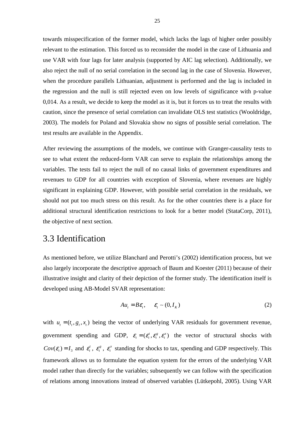towards misspecification of the former model, which lacks the lags of higher order possibly relevant to the estimation. This forced us to reconsider the model in the case of Lithuania and use VAR with four lags for later analysis (supported by AIC lag selection). Additionally, we also reject the null of no serial correlation in the second lag in the case of Slovenia. However, when the procedure parallels Lithuanian, adjustment is performed and the lag is included in the regression and the null is still rejected even on low levels of significance with p-value 0,014. As a result, we decide to keep the model as it is, but it forces us to treat the results with caution, since the presence of serial correlation can invalidate OLS test statistics (Wooldridge, 2003). The models for Poland and Slovakia show no signs of possible serial correlation. The test results are available in the Appendix.

After reviewing the assumptions of the models, we continue with Granger-causality tests to see to what extent the reduced-form VAR can serve to explain the relationships among the variables. The tests fail to reject the null of no causal links of government expenditures and revenues to GDP for all countries with exception of Slovenia, where revenues are highly significant in explaining GDP. However, with possible serial correlation in the residuals, we should not put too much stress on this result. As for the other countries there is a place for additional structural identification restrictions to look for a better model (StataCorp, 2011), the objective of next section.

### 3.3 Identification

As mentioned before, we utilize Blanchard and Perotti's (2002) identification process, but we also largely incorporate the descriptive approach of Baum and Koester (2011) because of their illustrative insight and clarity of their depiction of the former study. The identification itself is developed using AB-Model SVAR representation:

$$
Au_t = B\varepsilon_t, \qquad \varepsilon_t \sim (0, I_K) \tag{2}
$$

with  $u_t = (t_t, g_t, x_t)$  being the vector of underlying VAR residuals for government revenue, government spending and GDP,  $\varepsilon_i = ( \varepsilon_i^t, \varepsilon_i^s, \varepsilon_i^x )$  the vector of structural shocks with  $Cov(\mathcal{E}_t) = I_3$  and  $\mathcal{E}_t^t$ ,  $\mathcal{E}_t^g$  $\varepsilon_t^{\scriptscriptstyle g}$  ,  $\varepsilon_t^{\scriptscriptstyle x}$  $\varepsilon_t^x$  standing for shocks to tax, spending and GDP respectively. This framework allows us to formulate the equation system for the errors of the underlying VAR model rather than directly for the variables; subsequently we can follow with the specification of relations among innovations instead of observed variables (Lütkepohl, 2005). Using VAR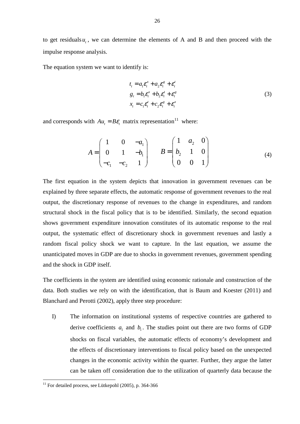to get residuals  $u_t$ , we can determine the elements of A and B and then proceed with the impulse response analysis.

The equation system we want to identify is:

$$
t_t = a_1 \varepsilon_t^x + a_2 \varepsilon_t^g + \varepsilon_t^t
$$
  
\n
$$
g_t = b_1 \varepsilon_t^x + b_2 \varepsilon_t^t + \varepsilon_t^g
$$
  
\n
$$
x_t = c_1 \varepsilon_t^t + c_2 \varepsilon_t^g + \varepsilon_t^x
$$
\n(3)

and corresponds with  $Au_1 = B\varepsilon$ , matrix representation<sup>11</sup> where:

$$
A = \begin{pmatrix} 1 & 0 & -a_1 \\ 0 & 1 & -b_1 \\ -c_1 & -c_2 & 1 \end{pmatrix} \qquad B = \begin{pmatrix} 1 & a_2 & 0 \\ b_2 & 1 & 0 \\ 0 & 0 & 1 \end{pmatrix}
$$
 (4)

The first equation in the system depicts that innovation in government revenues can be explained by three separate effects, the automatic response of government revenues to the real output, the discretionary response of revenues to the change in expenditures, and random structural shock in the fiscal policy that is to be identified. Similarly, the second equation shows government expenditure innovation constitutes of its automatic response to the real output, the systematic effect of discretionary shock in government revenues and lastly a random fiscal policy shock we want to capture. In the last equation, we assume the unanticipated moves in GDP are due to shocks in government revenues, government spending and the shock in GDP itself.

The coefficients in the system are identified using economic rationale and construction of the data. Both studies we rely on with the identification, that is Baum and Koester (2011) and Blanchard and Perotti (2002), apply three step procedure:

I) The information on institutional systems of respective countries are gathered to derive coefficients  $a_1$  and  $b_1$ . The studies point out there are two forms of GDP shocks on fiscal variables, the automatic effects of economy's development and the effects of discretionary interventions to fiscal policy based on the unexpected changes in the economic activity within the quarter. Further, they argue the latter can be taken off consideration due to the utilization of quarterly data because the

l

 $11$  For detailed process, see Lütkepohl (2005), p. 364-366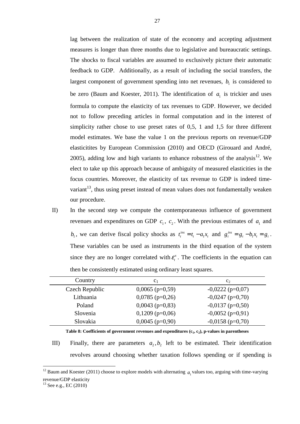lag between the realization of state of the economy and accepting adjustment measures is longer than three months due to legislative and bureaucratic settings. The shocks to fiscal variables are assumed to exclusively picture their automatic feedback to GDP. Additionally, as a result of including the social transfers, the largest component of government spending into net revenues,  $b<sub>1</sub>$  is considered to be zero (Baum and Koester, 2011). The identification of  $a_1$  is trickier and uses formula to compute the elasticity of tax revenues to GDP. However, we decided not to follow preceding articles in formal computation and in the interest of simplicity rather chose to use preset rates of 0,5, 1 and 1,5 for three different model estimates. We base the value 1 on the previous reports on revenue/GDP elasticitites by European Commission (2010) and OECD (Girouard and André, 2005), adding low and high variants to enhance robustness of the analysis<sup>12</sup>. We elect to take up this approach because of ambiguity of measured elasticities in the focus countries. Moreover, the elasticity of tax revenue to GDP is indeed timevariant $13$ , thus using preset instead of mean values does not fundamentally weaken our procedure.

II) In the second step we compute the contemporaneous influence of government revenues and expenditures on GDP  $c_1$ ,  $c_2$ . With the previous estimates of  $a_1$  and  $b_1$ , we can derive fiscal policy shocks as  $t_t^{ins} = t_t - a_1 x_t$  and  $g_t^{ins} = g_t - b_1 x_t = g_t$ . These variables can be used as instruments in the third equation of the system since they are no longer correlated with  $\varepsilon_t^x$ . The coefficients in the equation can then be consistently estimated using ordinary least squares.

| Country        | c <sub>1</sub>    | C <sub>2</sub>     |
|----------------|-------------------|--------------------|
| Czech Republic | $0,0065$ (p=0,59) | $-0,0222$ (p=0,07) |
| Lithuania      | $0,0785$ (p=0,26) | $-0,0247$ (p=0,70) |
| Poland         | $0,0043$ (p=0,83) | $-0,0137$ (p=0,50) |
| Slovenia       | $0,1209$ (p=0,06) | $-0,0052$ (p=0,91) |
| Slovakia       | $0,0045$ (p=0,90) | $-0,0158$ (p=0,70) |

**Table 8: Coefficients of government revenues and expenditures (c<sup>1</sup> , c<sup>2</sup> ), p-values in parentheses** 

III) Finally, there are parameters  $a_2, b_2$  left to be estimated. Their identification revolves around choosing whether taxation follows spending or if spending is

 $13$  See e.g., EC (2010)

 $\overline{a}$ 

Ë

<sup>&</sup>lt;sup>12</sup> Baum and Koester (2011) choose to explore models with alternating  $a_1$  values too, arguing with time-varying revenue/GDP elasticity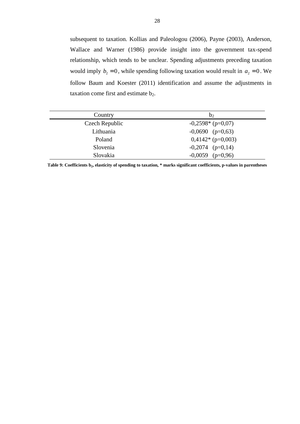subsequent to taxation. Kollias and Paleologou (2006), Payne (2003), Anderson, Wallace and Warner (1986) provide insight into the government tax-spend relationship, which tends to be unclear. Spending adjustments preceding taxation would imply  $b_2 = 0$ , while spending following taxation would result in  $a_2 = 0$ . We follow Baum and Koester (2011) identification and assume the adjustments in taxation come first and estimate  $b_2$ .

| Country        | $b_2$              |
|----------------|--------------------|
| Czech Republic | $-0,2598*(p=0,07)$ |
| Lithuania      | $-0,0690$ (p=0,63) |
| Poland         | $0,4142*(p=0,003)$ |
| Slovenia       | $-0,2074$ (p=0,14) |
| Slovakia       | $-0,0059$ (p=0,96) |

**Table 9: Coefficients b<sup>2</sup> , elasticity of spending to taxation, \* marks significant coefficients, p-values in parentheses**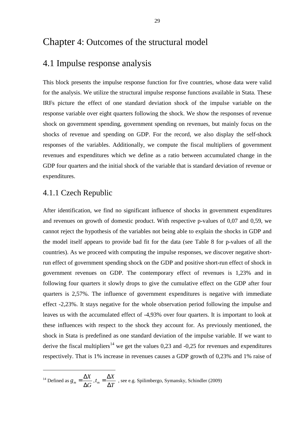### Chapter 4: Outcomes of the structural model

### 4.1 Impulse response analysis

This block presents the impulse response function for five countries, whose data were valid for the analysis. We utilize the structural impulse response functions available in Stata. These IRFs picture the effect of one standard deviation shock of the impulse variable on the response variable over eight quarters following the shock. We show the responses of revenue shock on government spending, government spending on revenues, but mainly focus on the shocks of revenue and spending on GDP. For the record, we also display the self-shock responses of the variables. Additionally, we compute the fiscal multipliers of government revenues and expenditures which we define as a ratio between accumulated change in the GDP four quarters and the initial shock of the variable that is standard deviation of revenue or expenditures.

#### 4.1.1 Czech Republic

l

After identification, we find no significant influence of shocks in government expenditures and revenues on growth of domestic product. With respective p-values of 0,07 and 0,59, we cannot reject the hypothesis of the variables not being able to explain the shocks in GDP and the model itself appears to provide bad fit for the data (see Table 8 for p-values of all the countries). As we proceed with computing the impulse responses, we discover negative shortrun effect of government spending shock on the GDP and positive short-run effect of shock in government revenues on GDP. The contemporary effect of revenues is 1,23% and in following four quarters it slowly drops to give the cumulative effect on the GDP after four quarters is 2,57%. The influence of government expenditures is negative with immediate effect -2,23%. It stays negative for the whole observation period following the impulse and leaves us with the accumulated effect of -4,93% over four quarters. It is important to look at these influences with respect to the shock they account for. As previously mentioned, the shock in Stata is predefined as one standard deviation of the impulse variable. If we want to derive the fiscal multipliers<sup>14</sup> we get the values 0,23 and -0,25 for revenues and expenditures respectively. That is 1% increase in revenues causes a GDP growth of 0,23% and 1% raise of

<sup>14</sup> Defined as  $g_m = \frac{\Delta X}{\Delta G}$ *G*  $=\frac{\Delta}{4}$  $\frac{1}{\Delta G}$ <sup>, t</sup><sub>m</sub>  $t_m = \frac{\Delta X}{\Delta t}$ *T*  $=\frac{\Delta}{4}$  $\frac{1}{\Delta T}$ , see e.g. Spilimbergo, Symansky, Schindler (2009)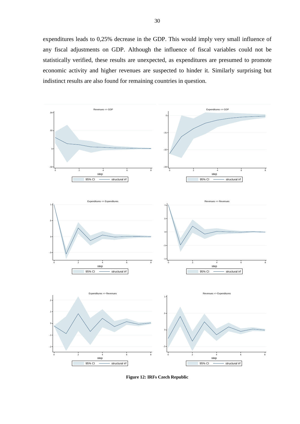expenditures leads to 0,25% decrease in the GDP. This would imply very small influence of any fiscal adjustments on GDP. Although the influence of fiscal variables could not be statistically verified, these results are unexpected, as expenditures are presumed to promote economic activity and higher revenues are suspected to hinder it. Similarly surprising but indistinct results are also found for remaining countries in question.



**Figure 12: IRFs Czech Republic**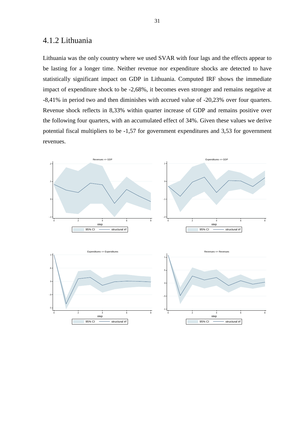#### 4.1.2 Lithuania

Lithuania was the only country where we used SVAR with four lags and the effects appear to be lasting for a longer time. Neither revenue nor expenditure shocks are detected to have statistically significant impact on GDP in Lithuania. Computed IRF shows the immediate impact of expenditure shock to be -2,68%, it becomes even stronger and remains negative at -8,41% in period two and then diminishes with accrued value of -20,23% over four quarters. Revenue shock reflects in 8,33% within quarter increase of GDP and remains positive over the following four quarters, with an accumulated effect of 34%. Given these values we derive potential fiscal multipliers to be -1,57 for government expenditures and 3,53 for government revenues.



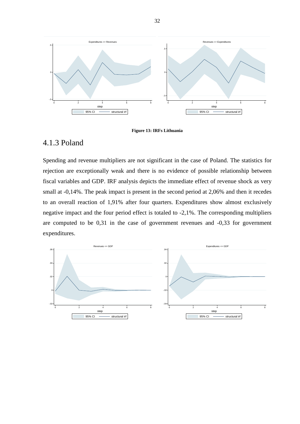

#### **Figure 13: IRFs Lithuania**

#### 4.1.3 Poland

Spending and revenue multipliers are not significant in the case of Poland. The statistics for rejection are exceptionally weak and there is no evidence of possible relationship between fiscal variables and GDP. IRF analysis depicts the immediate effect of revenue shock as very small at -0,14%. The peak impact is present in the second period at 2,06% and then it recedes to an overall reaction of 1,91% after four quarters. Expenditures show almost exclusively negative impact and the four period effect is totaled to -2,1%. The corresponding multipliers are computed to be 0,31 in the case of government revenues and -0,33 for government expenditures.

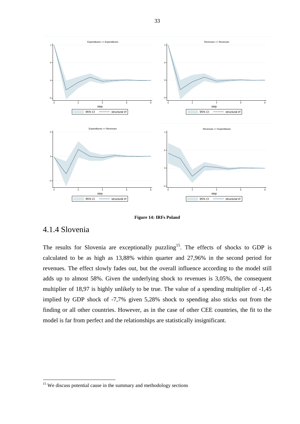

**Figure 14: IRFs Poland** 

#### 4.1.4 Slovenia

l

The results for Slovenia are exceptionally puzzling<sup>15</sup>. The effects of shocks to GDP is calculated to be as high as 13,88% within quarter and 27,96% in the second period for revenues. The effect slowly fades out, but the overall influence according to the model still adds up to almost 58%. Given the underlying shock to revenues is 3,05%, the consequent multiplier of 18,97 is highly unlikely to be true. The value of a spending multiplier of -1,45 implied by GDP shock of -7,7% given 5,28% shock to spending also sticks out from the finding or all other countries. However, as in the case of other CEE countries, the fit to the model is far from perfect and the relationships are statistically insignificant.

<sup>&</sup>lt;sup>15</sup> We discuss potential cause in the summary and methodology sections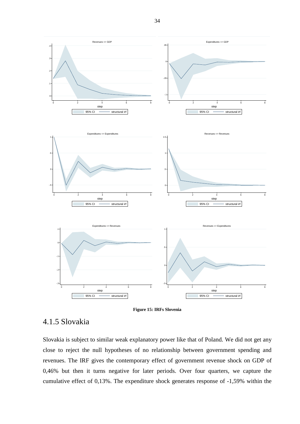



### 4.1.5 Slovakia

Slovakia is subject to similar weak explanatory power like that of Poland. We did not get any close to reject the null hypotheses of no relationship between government spending and revenues. The IRF gives the contemporary effect of government revenue shock on GDP of 0,46% but then it turns negative for later periods. Over four quarters, we capture the cumulative effect of 0,13%. The expenditure shock generates response of -1,59% within the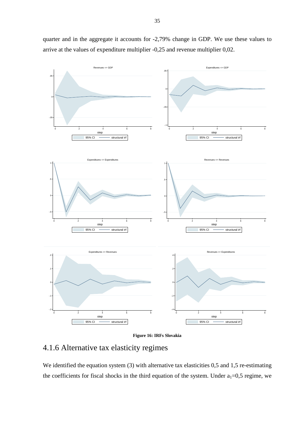$-0.6$ 0  $.0$ 0 2 4 6 8 Revenues => GDP 95% CI structural in step -.1 -.05 0 .05 0 2 4 6 8 Expenditures => GDP 95% CI structural irf ster -.5 0 .5 1 0 2 4 6 8 Expenditures => Expenditures 95% CI structural irf step -.5 .5 1 0 2 4 6 8 Revenues => Revenues 95% CI structural irf step -.2 -.1 0 .1 .2 0 2 4 6 8 Expenditures => Revenues 95% CI structural irf step -.4 -.2 0 .2 .4 0 2 4 6 8 Revenues => Expenditures 95% CI structural irf step

quarter and in the aggregate it accounts for -2,79% change in GDP. We use these values to arrive at the values of expenditure multiplier -0,25 and revenue multiplier 0,02.

**Figure 16: IRFs Slovakia** 

### 4.1.6 Alternative tax elasticity regimes

We identified the equation system (3) with alternative tax elasticities 0,5 and 1,5 re-estimating the coefficients for fiscal shocks in the third equation of the system. Under  $a_1=0,5$  regime, we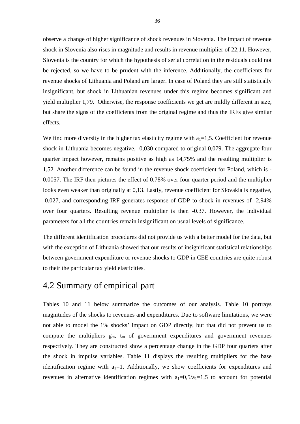observe a change of higher significance of shock revenues in Slovenia. The impact of revenue shock in Slovenia also rises in magnitude and results in revenue multiplier of 22,11. However, Slovenia is the country for which the hypothesis of serial correlation in the residuals could not be rejected, so we have to be prudent with the inference. Additionally, the coefficients for revenue shocks of Lithuania and Poland are larger. In case of Poland they are still statistically insignificant, but shock in Lithuanian revenues under this regime becomes significant and yield multiplier 1,79. Otherwise, the response coefficients we get are mildly different in size, but share the signs of the coefficients from the original regime and thus the IRFs give similar effects.

We find more diversity in the higher tax elasticity regime with  $a_1=1,5$ . Coefficient for revenue shock in Lithuania becomes negative, -0,030 compared to original 0,079. The aggregate four quarter impact however, remains positive as high as 14,75% and the resulting multiplier is 1,52. Another difference can be found in the revenue shock coefficient for Poland, which is - 0,0057. The IRF then pictures the effect of 0,78% over four quarter period and the multiplier looks even weaker than originally at 0,13. Lastly, revenue coefficient for Slovakia is negative, -0.027, and corresponding IRF generates response of GDP to shock in revenues of -2,94% over four quarters. Resulting revenue multiplier is then -0.37. However, the individual parameters for all the countries remain insignificant on usual levels of significance.

The different identification procedures did not provide us with a better model for the data, but with the exception of Lithuania showed that our results of insignificant statistical relationships between government expenditure or revenue shocks to GDP in CEE countries are quite robust to their the particular tax yield elasticities.

### 4.2 Summary of empirical part

Tables 10 and 11 below summarize the outcomes of our analysis. Table 10 portrays magnitudes of the shocks to revenues and expenditures. Due to software limitations, we were not able to model the 1% shocks' impact on GDP directly, but that did not prevent us to compute the multipliers  $g_m$ ,  $t_m$  of government expenditures and government revenues respectively. They are constructed show a percentage change in the GDP four quarters after the shock in impulse variables. Table 11 displays the resulting multipliers for the base identification regime with  $a_1=1$ . Additionally, we show coefficients for expenditures and revenues in alternative identification regimes with  $a_1=0.5/a_1=1.5$  to account for potential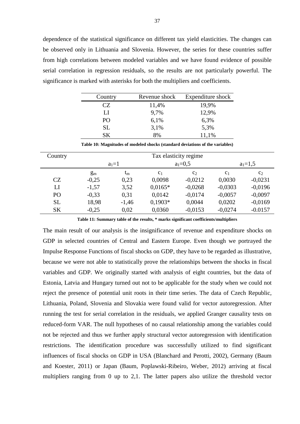dependence of the statistical significance on different tax yield elasticities. The changes can be observed only in Lithuania and Slovenia. However, the series for these countries suffer from high correlations between modeled variables and we have found evidence of possible serial correlation in regression residuals, so the results are not particularly powerful. The significance is marked with asterisks for both the multipliers and coefficients.

| Country   | Revenue shock | Expenditure shock |
|-----------|---------------|-------------------|
| CZ.       | 11,4%         | 19,9%             |
| LI        | 9,7%          | 12,9%             |
| PO        | 6,1%          | 6,3%              |
| <b>SL</b> | 3,1%          | 5,3%              |
| SК        | 8%            | 11,1%             |

**Table 10: Magnitudes of modeled shocks (standard deviations of the variables)** 

| Country   |         | Tax elasticity regime |                |             |                |                |  |
|-----------|---------|-----------------------|----------------|-------------|----------------|----------------|--|
|           |         | $a_1 = 1$             |                | $a_1 = 0.5$ |                | $a_1=1,5$      |  |
|           | $g_{m}$ | $t_{\rm m}$           | C <sub>1</sub> | $C_2$       | C <sub>1</sub> | C <sub>2</sub> |  |
| CZ        | $-0,25$ | 0,23                  | 0,0098         | $-0,0212$   | 0,0030         | $-0,0231$      |  |
| LI        | $-1,57$ | 3,52                  | $0,0165*$      | $-0.0268$   | $-0,0303$      | $-0,0196$      |  |
| PO        | $-0.33$ | 0,31                  | 0,0142         | $-0.0174$   | $-0,0057$      | $-0,0097$      |  |
| <b>SL</b> | 18,98   | $-1,46$               | $0,1903*$      | 0,0044      | 0,0202         | $-0,0169$      |  |
| <b>SK</b> | $-0,25$ | 0,02                  | 0,0360         | $-0,0153$   | $-0,0274$      | $-0.0157$      |  |

**Table 11: Summary table of the results, \* marks significant coefficients/multipliers**

The main result of our analysis is the insignificance of revenue and expenditure shocks on GDP in selected countries of Central and Eastern Europe. Even though we portrayed the Impulse Response Functions of fiscal shocks on GDP, they have to be regarded as illustrative, because we were not able to statistically prove the relationships between the shocks in fiscal variables and GDP. We originally started with analysis of eight countries, but the data of Estonia, Latvia and Hungary turned out not to be applicable for the study when we could not reject the presence of potential unit roots in their time series. The data of Czech Republic, Lithuania, Poland, Slovenia and Slovakia were found valid for vector autoregression. After running the test for serial correlation in the residuals, we applied Granger causality tests on reduced-form VAR. The null hypotheses of no causal relationship among the variables could not be rejected and thus we further apply structural vector autoregression with identification restrictions. The identification procedure was successfully utilized to find significant influences of fiscal shocks on GDP in USA (Blanchard and Perotti, 2002), Germany (Baum and Koester, 2011) or Japan (Baum, Poplawski-Ribeiro, Weber, 2012) arriving at fiscal multipliers ranging from 0 up to 2,1. The latter papers also utilize the threshold vector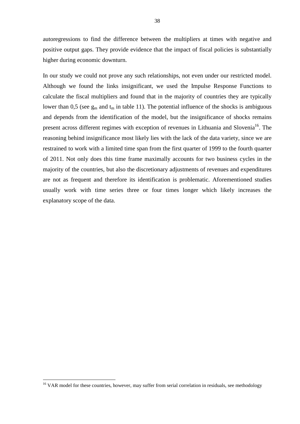autoregressions to find the difference between the multipliers at times with negative and positive output gaps. They provide evidence that the impact of fiscal policies is substantially higher during economic downturn.

In our study we could not prove any such relationships, not even under our restricted model. Although we found the links insignificant, we used the Impulse Response Functions to calculate the fiscal multipliers and found that in the majority of countries they are typically lower than 0,5 (see  $g_m$  and  $t_m$  in table 11). The potential influence of the shocks is ambiguous and depends from the identification of the model, but the insignificance of shocks remains present across different regimes with exception of revenues in Lithuania and Slovenia<sup>16</sup>. The reasoning behind insignificance most likely lies with the lack of the data variety, since we are restrained to work with a limited time span from the first quarter of 1999 to the fourth quarter of 2011. Not only does this time frame maximally accounts for two business cycles in the majority of the countries, but also the discretionary adjustments of revenues and expenditures are not as frequent and therefore its identification is problematic. Aforementioned studies usually work with time series three or four times longer which likely increases the explanatory scope of the data.

l

<sup>&</sup>lt;sup>16</sup> VAR model for these countries, however, may suffer from serial correlation in residuals, see methodology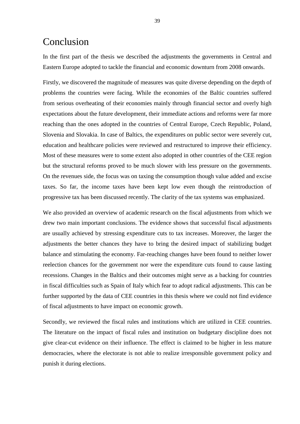# Conclusion

In the first part of the thesis we described the adjustments the governments in Central and Eastern Europe adopted to tackle the financial and economic downturn from 2008 onwards.

Firstly, we discovered the magnitude of measures was quite diverse depending on the depth of problems the countries were facing. While the economies of the Baltic countries suffered from serious overheating of their economies mainly through financial sector and overly high expectations about the future development, their immediate actions and reforms were far more reaching than the ones adopted in the countries of Central Europe, Czech Republic, Poland, Slovenia and Slovakia. In case of Baltics, the expenditures on public sector were severely cut, education and healthcare policies were reviewed and restructured to improve their efficiency. Most of these measures were to some extent also adopted in other countries of the CEE region but the structural reforms proved to be much slower with less pressure on the governments. On the revenues side, the focus was on taxing the consumption though value added and excise taxes. So far, the income taxes have been kept low even though the reintroduction of progressive tax has been discussed recently. The clarity of the tax systems was emphasized.

We also provided an overview of academic research on the fiscal adjustments from which we drew two main important conclusions. The evidence shows that successful fiscal adjustments are usually achieved by stressing expenditure cuts to tax increases. Moreover, the larger the adjustments the better chances they have to bring the desired impact of stabilizing budget balance and stimulating the economy. Far-reaching changes have been found to neither lower reelection chances for the government nor were the expenditure cuts found to cause lasting recessions. Changes in the Baltics and their outcomes might serve as a backing for countries in fiscal difficulties such as Spain of Italy which fear to adopt radical adjustments. This can be further supported by the data of CEE countries in this thesis where we could not find evidence of fiscal adjustments to have impact on economic growth.

Secondly, we reviewed the fiscal rules and institutions which are utilized in CEE countries. The literature on the impact of fiscal rules and institution on budgetary discipline does not give clear-cut evidence on their influence. The effect is claimed to be higher in less mature democracies, where the electorate is not able to realize irresponsible government policy and punish it during elections.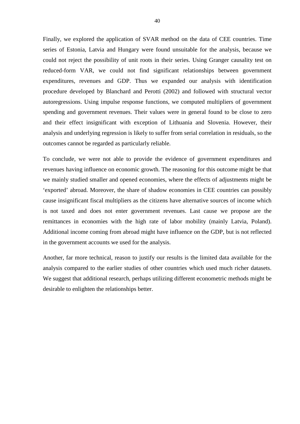Finally, we explored the application of SVAR method on the data of CEE countries. Time series of Estonia, Latvia and Hungary were found unsuitable for the analysis, because we could not reject the possibility of unit roots in their series. Using Granger causality test on reduced-form VAR, we could not find significant relationships between government expenditures, revenues and GDP. Thus we expanded our analysis with identification procedure developed by Blanchard and Perotti (2002) and followed with structural vector autoregressions. Using impulse response functions, we computed multipliers of government spending and government revenues. Their values were in general found to be close to zero and their effect insignificant with exception of Lithuania and Slovenia. However, their analysis and underlying regression is likely to suffer from serial correlation in residuals, so the outcomes cannot be regarded as particularly reliable.

To conclude, we were not able to provide the evidence of government expenditures and revenues having influence on economic growth. The reasoning for this outcome might be that we mainly studied smaller and opened economies, where the effects of adjustments might be 'exported' abroad. Moreover, the share of shadow economies in CEE countries can possibly cause insignificant fiscal multipliers as the citizens have alternative sources of income which is not taxed and does not enter government revenues. Last cause we propose are the remittances in economies with the high rate of labor mobility (mainly Latvia, Poland). Additional income coming from abroad might have influence on the GDP, but is not reflected in the government accounts we used for the analysis.

Another, far more technical, reason to justify our results is the limited data available for the analysis compared to the earlier studies of other countries which used much richer datasets. We suggest that additional research, perhaps utilizing different econometric methods might be desirable to enlighten the relationships better.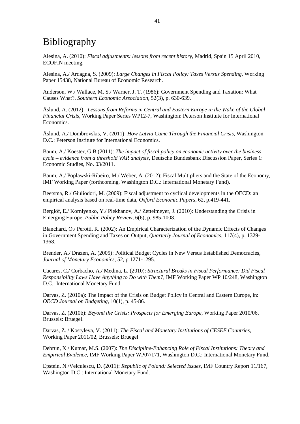# Bibliography

Alesina, A. (2010): *Fiscal adjustments: lessons from recent history*, Madrid, Spain 15 April 2010, ECOFIN meeting.

Alesina, A./ Ardagna, S. (2009): *Large Changes in Fiscal Policy: Taxes Versus Spending*, Working Paper 15438, National Bureau of Economic Research.

Anderson, W./ Wallace, M. S./ Warner, J. T. (1986): Government Spending and Taxation: What Causes What?, *Southern Economic Association*, 52(3), p. 630-639.

Åslund, A. (2012): *Lessons from Reforms in Central and Eastern Europe in the Wake of the Global Financial Crisis*, Working Paper Series WP12-7, Washington: Peterson Institute for International Economics.

Åslund, A./ Dombrovskis, V. (2011): *How Latvia Came Through the Financial Crisis,* Washington D.C.: Peterson Institute for International Economics.

Baum, A./ Koester, G.B (2011): *The impact of fiscal policy on economic activity over the business cycle – evidence from a threshold VAR analysis*, Deutsche Bundesbank Discussion Paper, Series 1: Economic Studies, No. 03/2011.

Baum, A./ Poplawski-Ribeiro, M./ Weber, A. (2012): Fiscal Multipliers and the State of the Economy, IMF Working Paper (forthcoming, Washington D.C.: International Monetary Fund).

Beetsma, R./ Giuliodori, M. (2009): Fiscal adjustment to cyclical developments in the OECD: an empirical analysis based on real-time data, *Oxford Economic Papers*, 62, p.419-441.

Berglöf, E./ Korniyenko, Y./ Plekhanov, A./ Zettelmeyer, J. (2010): Understanding the Crisis in Emerging Europe, *Public Policy Review*, 6(6), p. 985-1008.

Blanchard, O./ Perotti, R. (2002): An Empirical Characterization of the Dynamic Effects of Changes in Government Spending and Taxes on Output, *Quarterly Journal of Economics*, 117(4), p. 1329- 1368.

Brender, A./ Drazen, A. (2005): Political Budget Cycles in New Versus Established Democracies*, Journal of Monetary Economics*, 52, p.1271-1295.

Cacares, C./ Corbacho, A./ Medina, L. (2010): *Structural Breaks in Fiscal Performance: Did Fiscal Responsibility Laws Have Anything to Do with Them?*, IMF Working Paper WP 10/248, Washington D.C.: International Monetary Fund.

Darvas, Z. (2010a): The Impact of the Crisis on Budget Policy in Central and Eastern Europe, in: *OECD Journal on Budgeting*, 10(1), p. 45-86.

Darvas, Z. (2010b): *Beyond the Crisis: Prospects for Emerging Europe*, Working Paper 2010/06, Brussels: Bruegel.

Darvas, Z. / Kostyleva, V. (2011): *The Fiscal and Monetary Institutions of CESEE Countries*, Working Paper 2011/02, Brussels: Bruegel

Debrun, X./ Kumar, M.S. (2007): *The Discipline-Enhancing Role of Fiscal Institutions: Theory and Empirical Evidence*, IMF Working Paper WP07/171, Washington D.C.: International Monetary Fund.

Epstein, N./Velculescu, D. (2011): *Republic of Poland: Selected Issues*, IMF Country Report 11/167, Washington D.C.: International Monetary Fund.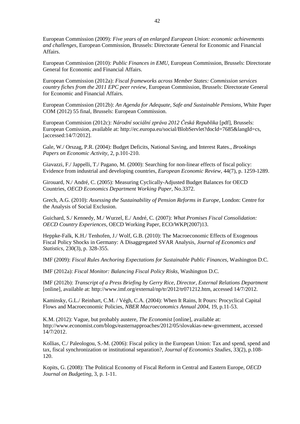European Commission (2009): *Five years of an enlarged European Union: economic achievements and challenges*, European Commission, Brussels: Directorate General for Economic and Financial Affairs.

European Commission (2010): *Public Finances in EMU*, European Commission, Brussels: Directorate General for Economic and Financial Affairs.

European Commission (2012a): *Fiscal frameworks across Member States: Commission services country fiches from the 2011 EPC peer review*, European Commission, Brussels: Directorate General for Economic and Financial Affairs.

European Commission (2012b): *An Agenda for Adequate, Safe and Sustainable Pensions*, White Paper COM (2012) 55 final, Brussels: European Commission.

European Commision (2012c): *Národní sociální zpráva 2012 Česká Republika* [pdf], Brussels: European Comission, available at: http://ec.europa.eu/social/BlobServlet?docId=7685&langId=cs, [accessed:14/7/2012].

Gale, W./ Orszag, P.R. (2004): Budget Deficits, National Saving, and Interest Rates., *Brookings Papers on Economic Activity*, 2, p.101-210.

Giavazzi, F./ Jappelli, T./ Pagano, M. (2000): Searching for non-linear effects of fiscal policy: Evidence from industrial and developing countries, *European Economic Review*, 44(7), p. 1259-1289.

Girouard, N./ André, C. (2005): Measuring Cyclically-Adjusted Budget Balances for OECD Countries, *OECD Economics Department Working Paper*, No.3372.

Grech, A.G. (2010): *Assessing the Sustainability of Pension Reforms in Europe*, London: Centre for the Analysis of Social Exclusion.

Guichard, S./ Kennedy, M./ Wurzel, E./ André, C. (2007): *What Promises Fiscal Consolidation: OECD Country Experiences*, OECD Working Paper, ECO/WKP(2007)13.

Heppke-Falk, K.H./ Tenhofen, J./ Wolf, G.B. (2010): The Macroeconomic Effects of Exogenous Fiscal Policy Shocks in Germany: A Disaggregated SVAR Analysis, *Journal of Economics and Statistics*, 230(3), p. 328-355.

IMF (2009): *Fiscal Rules Anchoring Expectations for Sustainable Public Finances*, Washington D.C.

IMF (2012a): *Fiscal Monitor: Balancing Fiscal Policy Risks*, Washington D.C.

IMF (2012b): *Transcript of a Press Briefing by Gerry Rice, Director, External Relations Department* [online], available at: http://www.imf.org/external/np/tr/2012/tr071212.htm, accessed 14/7/2012.

Kaminsky, G.L./ Reinhart, C.M. / Végh, C.A. (2004): When It Rains, It Pours: Procyclical Capital Flows and Macroeconomic Policies, *NBER Macroeconomics Annual 2004*, 19, p.11-53.

K.M. (2012): Vague, but probably austere, *The Economist* [online], available at: http://www.economist.com/blogs/easternapproaches/2012/05/slovakias-new-government, accessed 14/7/2012.

Kollias, C./ Paleologou, S.-M. (2006): Fiscal policy in the European Union: Tax and spend, spend and tax, fiscal synchronization or institutional separation?, *Journal of Economics Studies*, 33(2), p.108- 120.

Kopits, G. (2008): The Political Economy of Fiscal Reform in Central and Eastern Europe, *OECD Journal on Budgeting*, 3, p. 1-11.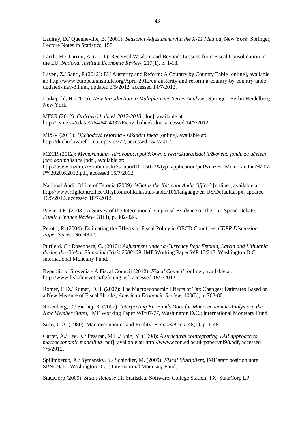Ladiray, D./ Quenneville, B. (2001): *Seasonal Adjustment with the X-11 Method*, New York: Springer, Lecture Notes in Statistics, 158.

Larch, M./ Turrini, A. (2011): Received Wisdom and Beyond: Lessons from Fiscal Consolidation in the EU, *National Institute Economic Review*, 217(1), p. 1-18.

Laven, Z./ Santi, F (2012): EU Austerity and Reform: A Country by Country Table [online], available at: http://www.europeaninstitute.org/April-2012/eu-austerity-and-reform-a-country-by-country-tableupdated-may-3.html, updated 3/5/2012, accessed 14/7/2012.

Lütkepohl, H. (2005): *New Introduction to Multiple Time Series Analysis*, Springer, Berlin Heidelberg New York.

MFSR (2012): *Ozdravný balíček 2012-2013* [doc], available at: http://i.sme.sk/cdata/2/64/6424032/Ficov\_balicek.doc, accessed 14/7/2012.

MPSV (2011): *Důchodová reforma - základní fakta* [online], available at: http://duchodovareforma.mpsv.cz/72, accessed 15/7/2012.

MZCR (2012): *Memorandum zdravotních pojišťoven o restrukturalizaci lůžkového fondu za účelem jeho optimalizace* [pdf], available at:

http://www.mzcr.cz/Soubor.ashx?souborID=15023&typ=application/pdf&nazev=Memorandum%20Z P%2020.6.2012.pdf, accessed 15/7/2012.

National Audit Office of Estonia (2009): *What is the National Audit Office?* [online], available at: http://www.riigikontroll.ee/Riigikontrollkuiasutus/tabid/106/language/en-US/Default.aspx, updated 16/5/2012, accessed 18/7/2012.

Payne, J.E. (2003): A Survey of the International Empirical Evidence on the Tax-Spend Debate, *Public Finance Review*, 31(3), p. 302-324.

Perotti, R. (2004): Estimating the Effects of Fiscal Policy in OECD Countries, *CEPR Discussion Paper Series*, No. 4842.

Purfield, C./ Rosenberg, C. (2010): *Adjustment under a Currency Peg: Estonia, Latvia and Lithuania during the Global Financial Crisis 2008–09*, IMF Working Paper WP 10/213, Washington D.C.: International Monetary Fund.

Republic of Slovenia - A Fiscal Council (2012): *Fiscal Council* [online], available at: http://www.fiskalnisvet.si/fs/fs-eng.nsf, accessed 18/7/2012.

Romer, C.D./ Romer, D.H. (2007): The Macroeconomic Effects of Tax Changes: Estimates Based on a New Measure of Fiscal Shocks, *American Economic Review*, 100(3), p. 763-801.

Rosenberg, C./ Sierhej, R. (2007): *Interpreting EU Funds Data for Macroeconomic Analysis in the New Member States*, IMF Working Paper WP/07/77, Washington D.C.: International Monetary Fund.

Sims, C.A. (1980): Macroeconomics and Reality, *Econometrica*, 48(1), p. 1-48.

Garrat, A./ Lee, K./ Pesaran, M.H./ Shin, Y. (1998): *A structural cointegrating VAR approach to macroeconomic modelling* [pdf], available at: http://www.econ.ed.ac.uk/papers/ni98.pdf, accessed 7/6/2012.

Spilimbergo, A./ Symansky, S./ Schindler, M. (2009): *Fiscal Multipliers*, IMF staff position note SPN/09/11, Washington D.C.: International Monetary Fund.

StataCorp (2009): *Stata: Release 11*, Statistical Software, College Station, TX: StataCorp LP.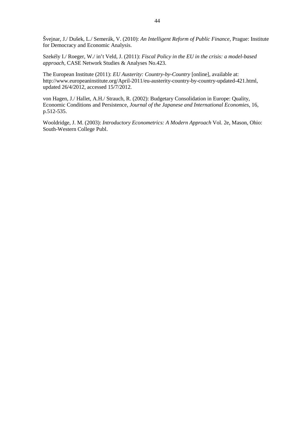Švejnar, J./ Dušek, L./ Semerák, V. (2010): *An Intelligent Reform of Public Finance*, Prague: Institute for Democracy and Economic Analysis.

Szekély I./ Roeger, W./ in't Veld, J. (2011): *Fiscal Policy in the EU in the crisis: a model-based approach*, CASE Network Studies & Analyses No.423.

The European Institute (2011): *EU Austerity: Country-by-Country* [online], available at: http://www.europeaninstitute.org/April-2011/eu-austerity-country-by-country-updated-421.html, updated 26/4/2012, accessed 15/7/2012.

von Hagen, J./ Hallet, A.H./ Strauch, R. (2002): Budgetary Consolidation in Europe: Quality, Economic Conditions and Persistence, *Journal of the Japanese and International Economies*, 16, p.512-535.

Wooldridge, J. M. (2003): *Introductory Econometrics: A Modern Approach* Vol. 2e, Mason, Ohio: South-Western College Publ.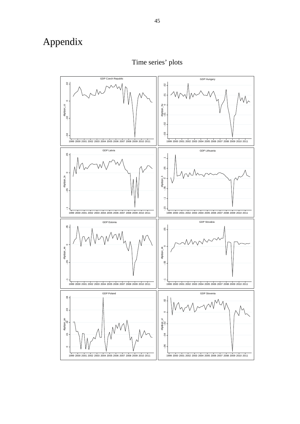# Appendix



Time series' plots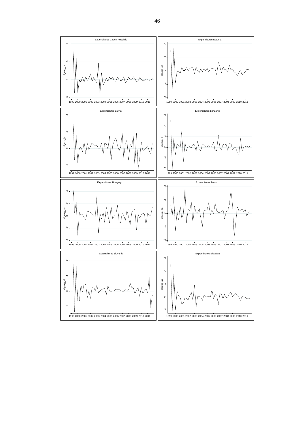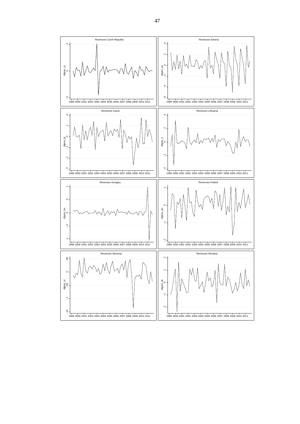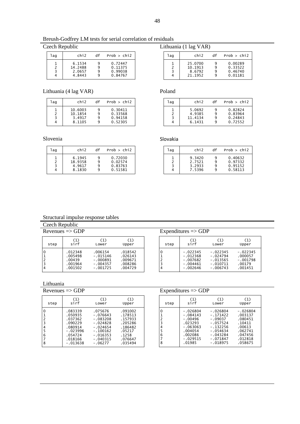Breush-Godfrey LM tests for serial correlation of residuals

| lag | chi2                                  | df               | Prob > chi2                              |
|-----|---------------------------------------|------------------|------------------------------------------|
|     | 6.1534<br>14.2488<br>2.0657<br>4.8443 | 9<br>9<br>9<br>٩ | 0.72447<br>0.11375<br>0.99038<br>0.84767 |

Lithuania (4 lag VAR) Poland

| laq | chi2    | df      | Prob > chi2        |
|-----|---------|---------|--------------------|
|     | 10.6003 | 9       | 0.30411<br>0.33568 |
|     | 3.4917  | 9       | 0.94158            |
|     | 8.1105  | q       | 0.52305            |
|     |         | 10.1854 | 9                  |

Slovenia Slovakia Slovakia

| laq | chi2    | df | Prob > chi2 |
|-----|---------|----|-------------|
|     | 6.1945  | q  | 0.72030     |
|     | 18.9358 |    | 0.02574     |
|     | 4.9617  |    | 0.83763     |
|     | 8.1830  |    | 0.51581     |
|     |         |    |             |

| Czech Republic | Lithuania (1 lag VAR) |
|----------------|-----------------------|
|----------------|-----------------------|

| laq | chi2                                    | df               | Prob > chi2                              |
|-----|-----------------------------------------|------------------|------------------------------------------|
|     | 25.0700<br>10.1913<br>8.6792<br>21.1952 | q<br>٩<br>q<br>q | 0.00289<br>0.33522<br>0.46740<br>0.01181 |
|     |                                         |                  |                                          |

| laq | chi2                                  | df | Prob > chi2                              |
|-----|---------------------------------------|----|------------------------------------------|
|     | 5.0692<br>4.9385<br>11.4134<br>6.1431 |    | 0.82824<br>0.83964<br>0.24843<br>0.72552 |

| laq | chi2             | df     | Prob > chi2        |
|-----|------------------|--------|--------------------|
|     | 9.3420<br>2.7521 | 9<br>9 | 0.40632<br>0.97332 |
|     | 3.2933<br>7.5396 | ٩<br>q | 0.95152<br>0.58113 |

#### Structural impulse response tables

| Czech Republic |                                                    |                                                                 |                                                     |      |                                                                    |                                                                    |                                                          |
|----------------|----------------------------------------------------|-----------------------------------------------------------------|-----------------------------------------------------|------|--------------------------------------------------------------------|--------------------------------------------------------------------|----------------------------------------------------------|
|                | Revenues $\Rightarrow$ GDP                         |                                                                 |                                                     |      | Expenditures $\Rightarrow$ GDP                                     |                                                                    |                                                          |
| step           | (1)<br>sirf                                        | (1)<br>Lower                                                    | (1)<br>Upper                                        | step | sirf                                                               | (1)<br>Lower                                                       | (1)<br>Upper                                             |
| 0              | .012348<br>.005498<br>.00439<br>.001964<br>.001502 | .006154<br>$-.015146$<br>$-.000891$<br>$-.004357$<br>$-.001725$ | .018542<br>.026143<br>.009671<br>.008286<br>.004729 | 4    | $-.022345$<br>$-.012368$<br>$-.007682$<br>$-.004461$<br>$-.002646$ | $-.022345$<br>$-.024794$<br>$-.013565$<br>$-.010711$<br>$-.006743$ | $-.022345$<br>.000057<br>$-.001798$<br>.00179<br>.001451 |

Lithuania<br>Revenues => GDP

| step                                                     | (1)                                                                                                   | (1)                                                                                                                    | (1)                                                                                          |
|----------------------------------------------------------|-------------------------------------------------------------------------------------------------------|------------------------------------------------------------------------------------------------------------------------|----------------------------------------------------------------------------------------------|
|                                                          | sirf                                                                                                  | Lower                                                                                                                  | Upper                                                                                        |
| 0<br>$\frac{1}{2}$<br>4<br>5<br>$\overline{6}$<br>7<br>8 | .083339<br>.050935<br>.037362<br>.090229<br>.080914<br>$-.023996$<br>.054724<br>.018166<br>$-.013638$ | .075676<br>$-.076643$<br>$-.083208$<br>$-.024828$<br>$-.024654$<br>$-.100162$<br>$-.016353$<br>$-.040315$<br>$-.06277$ | .091002<br>.178513<br>.157933<br>.205286<br>.186482<br>.05217<br>.1258<br>.076647<br>.035494 |

| step        | (1)                                                                | (1)                                                                | (1)                                                    |
|-------------|--------------------------------------------------------------------|--------------------------------------------------------------------|--------------------------------------------------------|
|             | sirf                                                               | Lower                                                              | Upper                                                  |
| 0<br>っ<br>ξ | $-.022345$<br>$-.012368$<br>$-.007682$<br>$-.004461$<br>$-.002646$ | $-.022345$<br>$-.024794$<br>$-.013565$<br>$-.010711$<br>$-.006743$ | $-.022345$<br>.000057<br>-.001798<br>.00179<br>.001451 |

 $Expenditures => GDP$ 

| step                                         | (1)<br>sirf                                                                                             | (1)<br>Lower                                                                                                              | (1)<br>Upper                                                                                     |
|----------------------------------------------|---------------------------------------------------------------------------------------------------------|---------------------------------------------------------------------------------------------------------------------------|--------------------------------------------------------------------------------------------------|
| $\overline{c}$<br>3<br>4<br>5<br>6<br>7<br>8 | -.026804<br>$-.084143$<br>$-.00496$<br>.023293<br>$-063063$<br>.004054<br>.002086<br>-.029515<br>.01985 | $-.026804$<br>$-.171422$<br>$-.09037$<br>$-.057524$<br>$-.132256$<br>$-.054634$<br>$-.043284$<br>$-.071847$<br>$-.018975$ | $-.026804$<br>.003137<br>.080451<br>.10411<br>.00613<br>.062741<br>.047456<br>.012818<br>.058675 |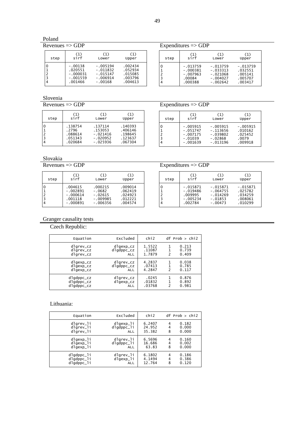#### Poland

 $REV = -GDP$ </u>

| step | (1)        | (1)        | (1)     |
|------|------------|------------|---------|
|      | sirf       | Lower      | Upper   |
| 3    | $-.00138$  | $-.005194$ | .002434 |
|      | .020551    | $-.011832$ | .052934 |
|      | $-.000031$ | $-.015147$ | .015085 |
|      | $-.001559$ | $-.006914$ | .003796 |
|      | .001466    | $-.00168$  | .004613 |

| Expenditures $\Rightarrow$ GDP |                                                             |                                                                    |                                                        |  |  |
|--------------------------------|-------------------------------------------------------------|--------------------------------------------------------------------|--------------------------------------------------------|--|--|
| step                           | (1)<br>sirf                                                 | (1)<br>Lower                                                       | (1)<br>Upper                                           |  |  |
| $\frac{1}{2}$<br>4             | $-.013759$<br>$-.000381$<br>$-.007963$<br>.00084<br>.000388 | $-.013759$<br>$-.033313$<br>$-.021068$<br>$-.004027$<br>$-.002642$ | $-.013759$<br>.032551<br>.005141<br>.005707<br>.003417 |  |  |

Slovenia<br>Revenues => GDP

 $Expenditures = > GDP$ 

| step | (1)     | (1)        | (1)     |
|------|---------|------------|---------|
|      | sirf    | Lower      | Upper   |
| 3    | .138754 | .137114    | .140393 |
|      | .2796   | .153053    | .406146 |
|      | .088614 | $-.021416$ | .198645 |
|      | .051343 | $-.020952$ | .123637 |
|      | .020684 | $-.025936$ | .067304 |

| step | (1)        | (1)        | (1)        |
|------|------------|------------|------------|
|      | sirf       | Lower      | Upper      |
|      | $-.005915$ | $-.005915$ | $-.005915$ |
|      | $-.051747$ | $-.113656$ | .010162    |
|      | $-.007175$ | $-.039802$ | .025452    |
|      | $-.01039$  | $-.02868$  | .0079      |
|      | $-.001639$ | $-.013196$ | .009918    |

#### Slovakia

| step | (1)        | (1)        | (1)     |
|------|------------|------------|---------|
|      | sirf       | Lower      | Upper   |
| 3    | .004615    | .000215    | .009014 |
|      | $-.002891$ | $-.0682$   | .062419 |
|      | $-.000614$ | $-.02615$  | .024923 |
|      | .001118    | $-.009985$ | .012221 |
|      | $-.000891$ | $-.006356$ | .004574 |

| $Re$ venues $\Rightarrow$ GDP | Expenditures $\Rightarrow$ GDP |
|-------------------------------|--------------------------------|
|                               |                                |

| step        | (1)                                                          | (1)                                                              | (1)                                                    |
|-------------|--------------------------------------------------------------|------------------------------------------------------------------|--------------------------------------------------------|
|             | sirf                                                         | Lower                                                            | Upper                                                  |
| 2<br>3<br>4 | $-.015871$<br>$-.019486$<br>.009995<br>$-.005234$<br>.002784 | $-.015871$<br>$-.064755$<br>$-.014269$<br>$-.01853$<br>$-.00473$ | $-.015871$<br>.025782<br>.034259<br>.008061<br>.010299 |

#### Granger causality tests

Czech Republic:

| Equation                                     | Excluded                                 | chi2                       |                    | $df$ Prob $>$ chi2      |
|----------------------------------------------|------------------------------------------|----------------------------|--------------------|-------------------------|
| dlgrev_cz<br>dlgrev_cz<br>dlgrev_cz          | dlgexp_cz<br>$dlqdppc_{c}$<br><b>ALL</b> | 1.5522<br>.11087<br>1.7879 | $\mathcal{P}$      | 0.213<br>0.739<br>0.409 |
| dlgexp_cz<br>dlgexp_cz<br>dlgexp_cz          | dlgrev_cz<br>dlgdppc_cz<br><b>ALL</b>    | 4.2837<br>.07413<br>4.2847 | 1<br>$\mathcal{P}$ | 0.038<br>0.785<br>0.117 |
| dlgdppc_cz<br>$dlqdppc_{c}$<br>$dlqdppc_{c}$ | dlgrev_cz<br>dlgexp_cz<br><b>ALL</b>     | .0245<br>.01832<br>.03768  | 1<br>2             | 0.876<br>0.892<br>0.981 |

#### Lithuania:

| Equation   | Excluded   | chi2   |   | $df$ Prob $>$ chi2 |
|------------|------------|--------|---|--------------------|
| dlgrev_li  | dlgexp_li  | 6.2407 | 4 | 0.182              |
| dlgrev_li  | dlgdppc_li | 24.952 | 4 | 0.000              |
| dlgrev_li  | <b>ALL</b> | 35.382 | 8 | 0.000              |
| dlgexp_li  | dlgrev_li  | 6.5696 | 4 | 0.160              |
| dlgexp_li  | dlgdppc_li | 16.686 | 4 | 0.002              |
| dlgexp_li  | <b>ALL</b> | 63.83  | 8 | 0.000              |
| dlgdppc_li | dlgrev_li  | 6.1802 | 4 | 0.186              |
| dlgdppc_li | dlgexp_li  | 4.1494 | 4 | 0.386              |
| dlgdppc_li | <b>ALL</b> | 12.764 | 8 | 0.120              |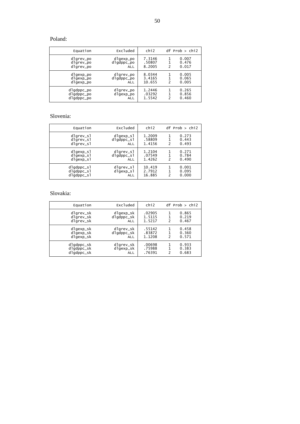#### Poland:

| Equation                               | Excluded                             | chi2                       |   | $df$ Prob $>$ chi2      |
|----------------------------------------|--------------------------------------|----------------------------|---|-------------------------|
| dlgrev_po<br>dlgrev_po<br>dlgrev_po    | dlgexp_po<br>dlgdppc_po<br>ALL       | 7.3146<br>.50807<br>8.2005 | 2 | 0.007<br>0.476<br>0.017 |
| dlgexp_po<br>dlgexp_po<br>dlgexp_po    | dlgrev_po<br>dlgdppc_po<br>ALL       | 8.0344<br>3.4165<br>10.655 | 2 | 0.005<br>0.065<br>0.005 |
| dlgdppc_po<br>dlgdppc_po<br>dlgdppc_po | dlgrev_po<br>dlgexp_po<br><b>ALL</b> | 1.2446<br>.03292<br>1.5542 | 2 | 0.265<br>0.856<br>0.460 |

#### Slovenia:

| Equation                               | Excluded                             | chi2                       |                    | $df$ Prob $>$ chi2      |
|----------------------------------------|--------------------------------------|----------------------------|--------------------|-------------------------|
| dlgrev_sl                              | dlgexp_sl                            | 1.2009                     | $\mathcal{P}$      | 0.273                   |
| dlgrev_sl                              | dlgdppc_sl                           | .58809                     |                    | 0.443                   |
| dlgrev_sl                              | <b>ALL</b>                           | 1.4156                     |                    | 0.493                   |
| dlgexp_sl                              | dlgrev_sl                            | 1.2104                     | 1                  | 0.271                   |
| dlgexp_sl                              | $dlqdppc$ _sl                        | .07549                     | 1                  | 0.784                   |
| dlgexp_sl                              | ALL                                  | 1.4262                     | $\mathcal{P}$      | 0.490                   |
| dlgdppc_sl<br>dlgdppc_sl<br>dlgdppc_sl | dlgrev_sl<br>dlgexp_sl<br><b>ALL</b> | 10.419<br>2.7912<br>16.885 | 1<br>$\mathcal{P}$ | 0.001<br>0.095<br>0.000 |

#### Slovakia:

| Equation                               | Excluded                       | chi <sub>2</sub>           |                    | $df$ Prob > chi2        |
|----------------------------------------|--------------------------------|----------------------------|--------------------|-------------------------|
| dlgrev_sk<br>dlgrev_sk<br>dlgrev_sk    | dlgexp_sk<br>dlgdppc_sk<br>ALL | .02905<br>1.5115<br>1.5217 | 1<br>$\mathcal{P}$ | 0.865<br>0.219<br>0.467 |
| dlgexp_sk<br>dlgexp_sk<br>dlgexp_sk    | dlgrev_sk<br>dlgdppc_sk<br>ALL | .55142<br>.83872<br>1.1208 | 1<br>2             | 0.458<br>0.360<br>0.571 |
| dlgdppc_sk<br>dlgdppc_sk<br>dlgdppc_sk | dlgrev_sk<br>dlgexp_sk<br>ALL  | .00698<br>.75988<br>.76391 | 1<br>1<br>2        | 0.933<br>0.383<br>0.683 |